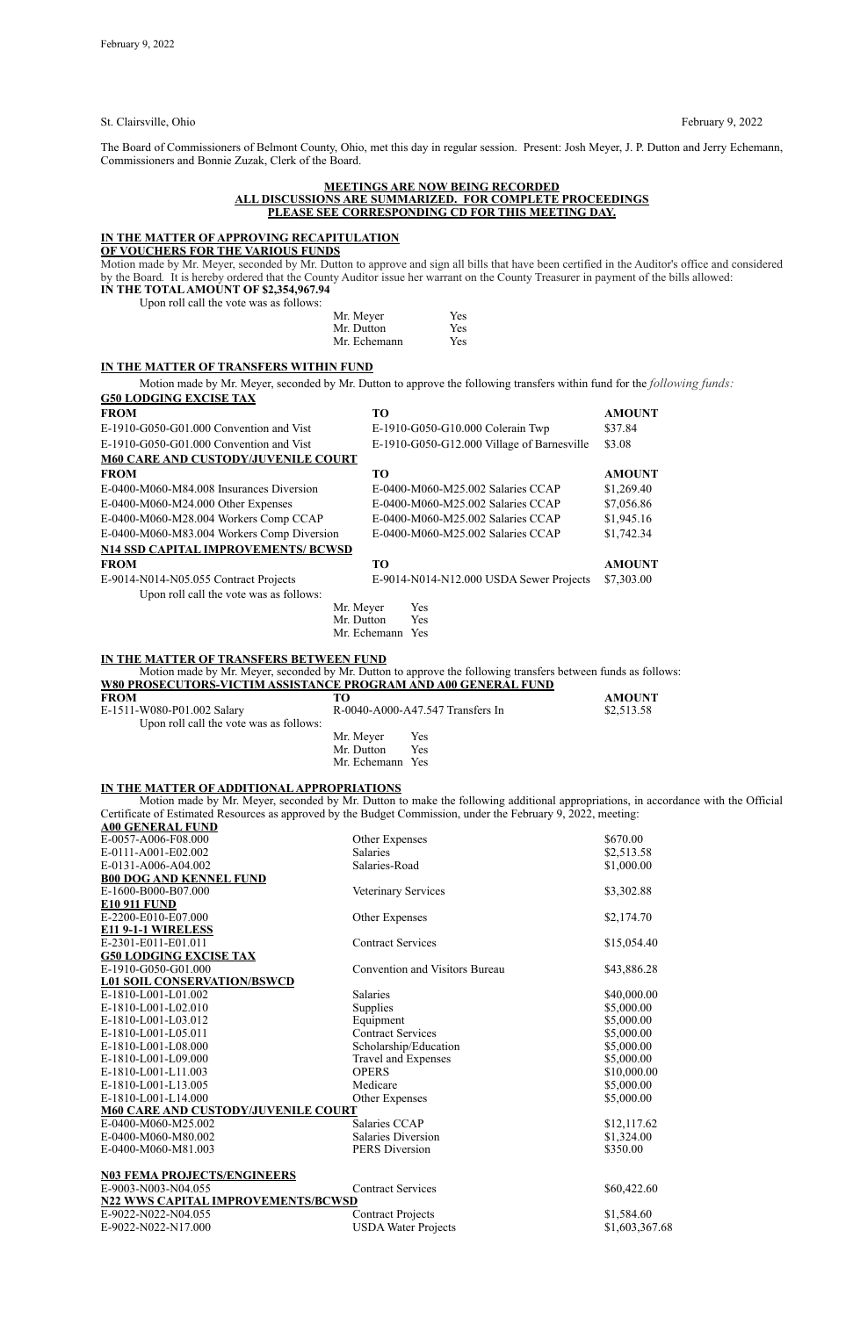St. Clairsville, Ohio February 9, 2022

The Board of Commissioners of Belmont County, Ohio, met this day in regular session. Present: Josh Meyer, J. P. Dutton and Jerry Echemann, Commissioners and Bonnie Zuzak, Clerk of the Board.

#### **MEETINGS ARE NOW BEING RECORDED ALL DISCUSSIONS ARE SUMMARIZED. FOR COMPLETE PROCEEDINGS PLEASE SEE CORRESPONDING CD FOR THIS MEETING DAY.**

**IN THE TOTAL AMOUNT OF \$2,354,967.94** Upon roll call the vote  $\frac{1}{2}$ 

|  |  |  | oon roll call the vote was as follows: |  |
|--|--|--|----------------------------------------|--|
|  |  |  |                                        |  |

# **IN THE MATTER OF APPROVING RECAPITULATION**

**OF VOUCHERS FOR THE VARIOUS FUNDS**

Motion made by Mr. Meyer, seconded by Mr. Dutton to approve and sign all bills that have been certified in the Auditor's office and considered by the Board*.* It is hereby ordered that the County Auditor issue her warrant on the County Treasurer in payment of the bills allowed:

| Mr. Meyer    | Yes |
|--------------|-----|
| Mr. Dutton   | Yes |
| Mr. Echemann | Yes |

# **IN THE MATTER OF TRANSFERS WITHIN FUND**

Motion made by Mr. Meyer, seconded by Mr. Dutton to approve the following transfers within fund for the *following funds:*

| E-1910-G050-G01.000                        | <b>Convention and Visitors Bureau</b> | \$43,886.28    |
|--------------------------------------------|---------------------------------------|----------------|
| <b>L01 SOIL CONSERVATION/BSWCD</b>         |                                       |                |
| E-1810-L001-L01.002                        | <b>Salaries</b>                       | \$40,000.00    |
| E-1810-L001-L02.010                        | Supplies                              | \$5,000.00     |
| E-1810-L001-L03.012                        | Equipment                             | \$5,000.00     |
| E-1810-L001-L05.011                        | <b>Contract Services</b>              | \$5,000.00     |
| E-1810-L001-L08.000                        | Scholarship/Education                 | \$5,000.00     |
| E-1810-L001-L09.000                        | <b>Travel and Expenses</b>            | \$5,000.00     |
| E-1810-L001-L11.003                        | <b>OPERS</b>                          | \$10,000.00    |
| E-1810-L001-L13.005                        | Medicare                              | \$5,000.00     |
| E-1810-L001-L14.000                        | Other Expenses                        | \$5,000.00     |
| <b>M60 CARE AND CUSTODY/JUVENILE COURT</b> |                                       |                |
| E-0400-M060-M25.002                        | Salaries CCAP                         | \$12,117.62    |
| E-0400-M060-M80.002                        | <b>Salaries Diversion</b>             | \$1,324.00     |
| E-0400-M060-M81.003                        | <b>PERS Diversion</b>                 | \$350.00       |
| <b>N03 FEMA PROJECTS/ENGINEERS</b>         |                                       |                |
| E-9003-N003-N04.055                        | <b>Contract Services</b>              | \$60,422.60    |
| <b>N22 WWS CAPITAL IMPROVEMENTS/BCWSD</b>  |                                       |                |
| E-9022-N022-N04.055                        | <b>Contract Projects</b>              | \$1,584.60     |
| E-9022-N022-N17.000                        | <b>USDA Water Projects</b>            | \$1,603,367.68 |
|                                            |                                       |                |

| <b>G50 LODGING EXCISE TAX</b>                                         |                                                                                                               |                                                                                        |
|-----------------------------------------------------------------------|---------------------------------------------------------------------------------------------------------------|----------------------------------------------------------------------------------------|
| <b>FROM</b>                                                           | TO                                                                                                            | <b>AMOUNT</b>                                                                          |
| E-1910-G050-G01.000 Convention and Vist                               | E-1910-G050-G10.000 Colerain Twp                                                                              | \$37.84                                                                                |
| E-1910-G050-G01.000 Convention and Vist                               | E-1910-G050-G12.000 Village of Barnesville                                                                    | \$3.08                                                                                 |
| <b>M60 CARE AND CUSTODY/JUVENILE COURT</b>                            |                                                                                                               |                                                                                        |
| <b>FROM</b>                                                           | TO                                                                                                            | <b>AMOUNT</b>                                                                          |
| E-0400-M060-M84.008 Insurances Diversion                              | E-0400-M060-M25.002 Salaries CCAP                                                                             | \$1,269.40                                                                             |
| E-0400-M060-M24.000 Other Expenses                                    | E-0400-M060-M25.002 Salaries CCAP                                                                             | \$7,056.86                                                                             |
| E-0400-M060-M28.004 Workers Comp CCAP                                 | E-0400-M060-M25.002 Salaries CCAP                                                                             | \$1,945.16                                                                             |
| E-0400-M060-M83.004 Workers Comp Diversion                            | E-0400-M060-M25.002 Salaries CCAP                                                                             | \$1,742.34                                                                             |
| <b>N14 SSD CAPITAL IMPROVEMENTS/ BCWSD</b>                            |                                                                                                               |                                                                                        |
| <b>FROM</b>                                                           | <b>TO</b>                                                                                                     | <b>AMOUNT</b>                                                                          |
| E-9014-N014-N05.055 Contract Projects                                 | E-9014-N014-N12.000 USDA Sewer Projects                                                                       | \$7,303.00                                                                             |
| Upon roll call the vote was as follows:                               |                                                                                                               |                                                                                        |
|                                                                       | Mr. Meyer<br>Yes                                                                                              |                                                                                        |
|                                                                       | Mr. Dutton<br><b>Yes</b>                                                                                      |                                                                                        |
|                                                                       | Mr. Echemann Yes                                                                                              |                                                                                        |
| IN THE MATTER OF TRANSFERS BETWEEN FUND                               |                                                                                                               |                                                                                        |
|                                                                       | Motion made by Mr. Meyer, seconded by Mr. Dutton to approve the following transfers between funds as follows: |                                                                                        |
| <u>W80 PROSECUTORS-VICTIM ASSISTANCE PROGRAM AND A00 GENERAL FUND</u> |                                                                                                               | $\mathbf{A}$ <b>x</b> $\mathbf{A}$ $\mathbf{A}$ $\mathbf{A}$ $\mathbf{A}$ $\mathbf{A}$ |

| <b>FROM</b>                             | TΟ               |                                  | <b>AMOUNT</b> |
|-----------------------------------------|------------------|----------------------------------|---------------|
| E-1511-W080-P01.002 Salary              |                  | R-0040-A000-A47.547 Transfers In | \$2,513.58    |
| Upon roll call the vote was as follows: |                  |                                  |               |
|                                         | Mr. Meyer        | Yes                              |               |
|                                         | Mr. Dutton       | Yes                              |               |
|                                         | Mr. Echemann Yes |                                  |               |

## **IN THE MATTER OF ADDITIONAL APPROPRIATIONS**

Motion made by Mr. Meyer, seconded by Mr. Dutton to make the following additional appropriations, in accordance with the Official Certificate of Estimated Resources as approved by the Budget Commission, under the February 9, 2022, meeting:

| <b>A00 GENERAL FUND</b>                    |                                     |             |
|--------------------------------------------|-------------------------------------|-------------|
| E-0057-A006-F08.000                        | Other Expenses                      | \$670.00    |
| E-0111-A001-E02.002                        | <b>Salaries</b>                     | \$2,513.58  |
| E-0131-A006-A04.002                        | Salaries-Road                       | \$1,000.00  |
| <b>B00 DOG AND KENNEL FUND</b>             |                                     |             |
| E-1600-B000-B07.000                        | Veterinary Services                 | \$3,302.88  |
| <b>E10 911 FUND</b>                        |                                     |             |
| E-2200-E010-E07.000                        | Other Expenses                      | \$2,174.70  |
| E11 9-1-1 WIRELESS                         |                                     |             |
| E-2301-E011-E01.011                        | <b>Contract Services</b>            | \$15,054.40 |
| <b>G50 LODGING EXCISE TAX</b>              |                                     |             |
| $\Gamma$ 1010 $\Omega$ 050 $\Omega$ 01 000 | $\alpha$ $\cdots$ $\cdots$ $\alpha$ | 0.1200580   |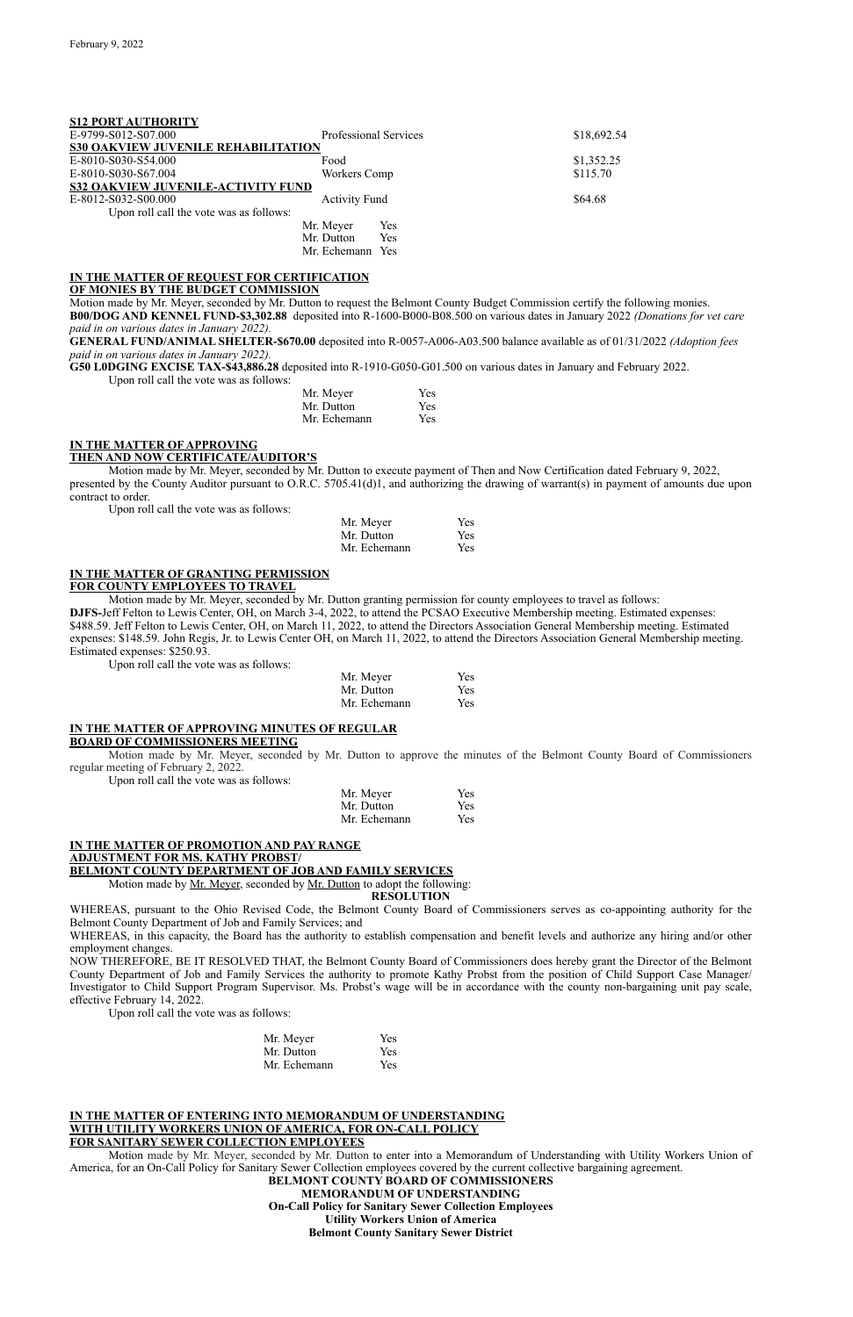**S12 PORT AUTHORITY**

| SIZ PORT AUTHORITY                         |                              |             |
|--------------------------------------------|------------------------------|-------------|
| E-9799-S012-S07.000                        | <b>Professional Services</b> | \$18,692.54 |
| <b>S30 OAKVIEW JUVENILE REHABILITATION</b> |                              |             |
| E-8010-S030-S54.000                        | Food                         | \$1,352.25  |
| E-8010-S030-S67.004                        | Workers Comp                 | \$115.70    |
| <b>S32 OAKVIEW JUVENILE-ACTIVITY FUND</b>  |                              |             |
| E-8012-S032-S00.000                        | <b>Activity Fund</b>         | \$64.68     |
| Upon roll call the vote was as follows:    |                              |             |
|                                            | Yes<br>Mr. Meyer             |             |
|                                            | Mr. Dutton<br>Yes            |             |
|                                            | Mr. Echemann Yes             |             |

#### **IN THE MATTER OF REQUEST FOR CERTIFICATION OF MONIES BY THE BUDGET COMMISSION**

Motion made by Mr. Meyer, seconded by Mr. Dutton to request the Belmont County Budget Commission certify the following monies. **B00/DOG AND KENNEL FUND-\$3,302.88** deposited into R-1600-B000-B08.500 on various dates in January 2022 *(Donations for vet care paid in on various dates in January 2022).*

**GENERAL FUND/ANIMAL SHELTER-\$670.00** deposited into R-0057-A006-A03.500 balance available as of 01/31/2022 *(Adoption fees paid in on various dates in January 2022).*

**G50 L0DGING EXCISE TAX-\$43,886.28** deposited into R-1910-G050-G01.500 on various dates in January and February 2022.

Upon roll call the vote was as follows:

| Mr. Meyer    | <b>Yes</b> |
|--------------|------------|
| Mr. Dutton   | <b>Yes</b> |
| Mr. Echemann | <b>Yes</b> |

#### **IN THE MATTER OF APPROVING THEN AND NOW CERTIFICATE/AUDITOR'S**

Motion made by Mr. Meyer, seconded by Mr. Dutton to execute payment of Then and Now Certification dated February 9, 2022, presented by the County Auditor pursuant to O.R.C. 5705.41(d)1, and authorizing the drawing of warrant(s) in payment of amounts due upon contract to order.

Upon roll call the vote was as follows:

| Mr. Meyer    | Yes |
|--------------|-----|
| Mr. Dutton   | Yes |
| Mr. Echemann | Yes |

#### **IN THE MATTER OF GRANTING PERMISSION FOR COUNTY EMPLOYEES TO TRAVEL**

Motion made by Mr. Meyer, seconded by Mr. Dutton granting permission for county employees to travel as follows: **DJFS-**Jeff Felton to Lewis Center, OH, on March 3-4, 2022, to attend the PCSAO Executive Membership meeting. Estimated expenses: \$488.59. Jeff Felton to Lewis Center, OH, on March 11, 2022, to attend the Directors Association General Membership meeting. Estimated expenses: \$148.59. John Regis, Jr. to Lewis Center OH, on March 11, 2022, to attend the Directors Association General Membership meeting. Estimated expenses: \$250.93.

Upon roll call the vote was as follows:

| Mr. Meyer    | <b>Yes</b> |
|--------------|------------|
| Mr. Dutton   | <b>Yes</b> |
| Mr. Echemann | <b>Yes</b> |

# **IN THE MATTER OF APPROVING MINUTES OF REGULAR BOARD OF COMMISSIONERS MEETING**

Motion made by Mr. Meyer, seconded by Mr. Dutton to approve the minutes of the Belmont County Board of Commissioners regular meeting of February 2, 2022.

Upon roll call the vote was as follows:

| Mr. Meyer    | Yes        |
|--------------|------------|
| Mr. Dutton   | <b>Yes</b> |
| Mr. Echemann | <b>Yes</b> |

# **IN THE MATTER OF PROMOTION AND PAY RANGE ADJUSTMENT FOR MS. KATHY PROBST/ BELMONT COUNTY DEPARTMENT OF JOB AND FAMILY SERVICES**

Motion made by Mr. Meyer, seconded by Mr. Dutton to adopt the following:

**RESOLUTION**

WHEREAS, pursuant to the Ohio Revised Code, the Belmont County Board of Commissioners serves as co-appointing authority for the Belmont County Department of Job and Family Services; and

WHEREAS, in this capacity, the Board has the authority to establish compensation and benefit levels and authorize any hiring and/or other employment changes.

NOW THEREFORE, BE IT RESOLVED THAT, the Belmont County Board of Commissioners does hereby grant the Director of the Belmont

County Department of Job and Family Services the authority to promote Kathy Probst from the position of Child Support Case Manager/ Investigator to Child Support Program Supervisor. Ms. Probst's wage will be in accordance with the county non-bargaining unit pay scale, effective February 14, 2022.

Upon roll call the vote was as follows:

| Mr. Meyer    | Yes        |
|--------------|------------|
| Mr. Dutton   | <b>Yes</b> |
| Mr. Echemann | <b>Yes</b> |

#### **IN THE MATTER OF ENTERING INTO MEMORANDUM OF UNDERSTANDING WITH UTILITY WORKERS UNION OF AMERICA, FOR ON-CALL POLICY FOR SANITARY SEWER COLLECTION EMPLOYEES**

Motion made by Mr. Meyer, seconded by Mr. Dutton to enter into a Memorandum of Understanding with Utility Workers Union of America, for an On-Call Policy for Sanitary Sewer Collection employees covered by the current collective bargaining agreement. **BELMONT COUNTY BOARD OF COMMISSIONERS MEMORANDUM OF UNDERSTANDING On-Call Policy for Sanitary Sewer Collection Employees Utility Workers Union of America Belmont County Sanitary Sewer District**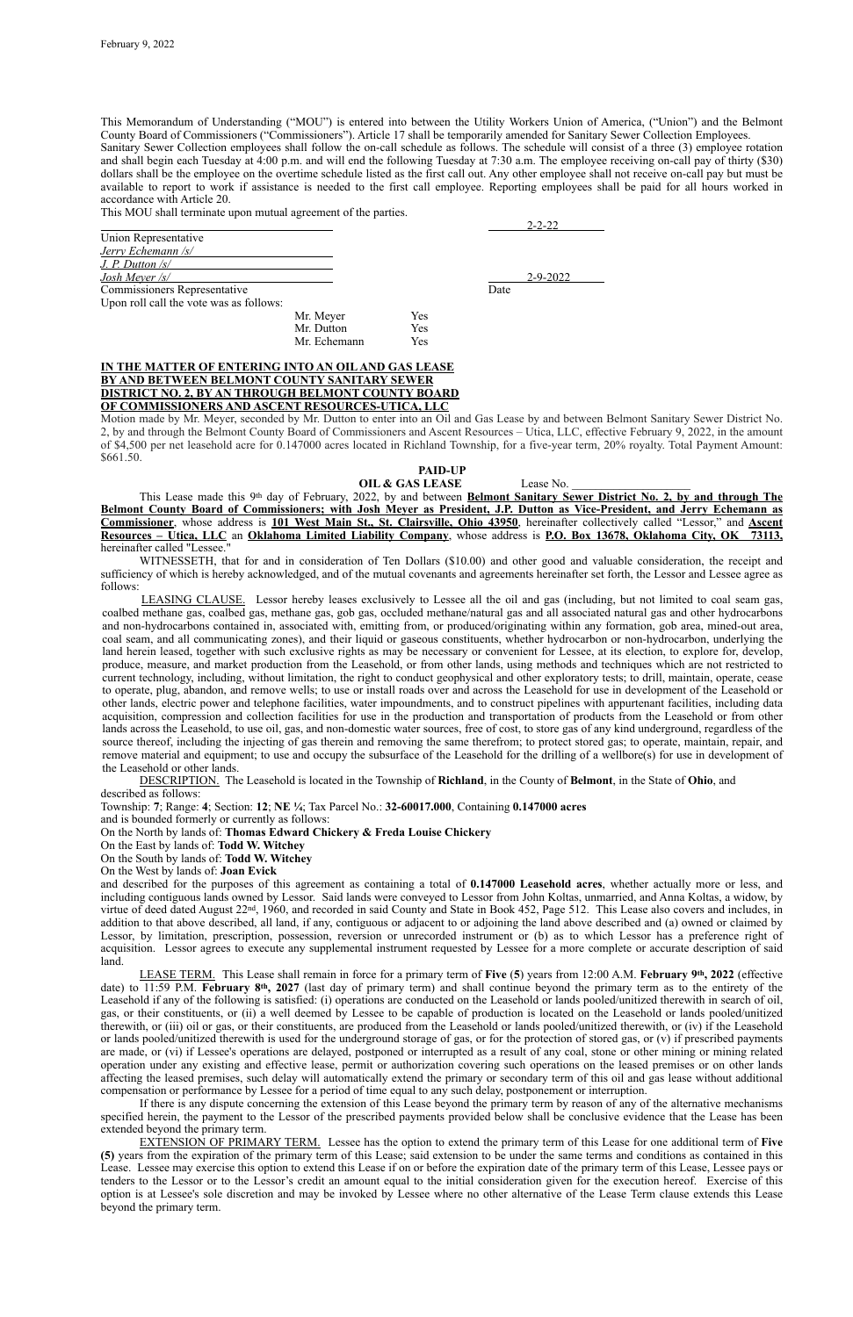This Memorandum of Understanding ("MOU") is entered into between the Utility Workers Union of America, ("Union") and the Belmont County Board of Commissioners ("Commissioners"). Article 17 shall be temporarily amended for Sanitary Sewer Collection Employees. Sanitary Sewer Collection employees shall follow the on-call schedule as follows. The schedule will consist of a three (3) employee rotation and shall begin each Tuesday at 4:00 p.m. and will end the following Tuesday at 7:30 a.m. The employee receiving on-call pay of thirty (\$30) dollars shall be the employee on the overtime schedule listed as the first call out. Any other employee shall not receive on-call pay but must be available to report to work if assistance is needed to the first call employee. Reporting employees shall be paid for all hours worked in accordance with Article 20.

This MOU shall terminate upon mutual agreement of the parties.

|                                         |              |     |      | $2 - 2 - 22$ |
|-----------------------------------------|--------------|-----|------|--------------|
| Union Representative                    |              |     |      |              |
| Jerry Echemann /s/                      |              |     |      |              |
| $J. P.$ Dutton $\sqrt{s}$               |              |     |      |              |
| Josh Meyer $\sqrt{s}$                   |              |     |      | 2-9-2022     |
| <b>Commissioners Representative</b>     |              |     | Date |              |
| Upon roll call the vote was as follows: |              |     |      |              |
|                                         | Mr. Meyer    | Yes |      |              |
|                                         | Mr. Dutton   | Yes |      |              |
|                                         | Mr. Echemann | Yes |      |              |

# **IN THE MATTER OF ENTERING INTO AN OIL AND GAS LEASE BY AND BETWEEN BELMONT COUNTY SANITARY SEWER DISTRICT NO. 2, BY AN THROUGH BELMONT COUNTY BOARD OF COMMISSIONERS AND ASCENT RESOURCES-UTICA, LLC**

Motion made by Mr. Meyer, seconded by Mr. Dutton to enter into an Oil and Gas Lease by and between Belmont Sanitary Sewer District No. 2, by and through the Belmont County Board of Commissioners and Ascent Resources – Utica, LLC, effective February 9, 2022, in the amount of \$4,500 per net leasehold acre for 0.147000 acres located in Richland Township, for a five-year term, 20% royalty. Total Payment Amount: \$661.50.

# **PAID-UP**

**OIL & GAS LEASE** Lease No.

This Lease made this 9th day of February, 2022, by and between **Belmont Sanitary Sewer District No. 2, by and through The Belmont County Board of Commissioners; with Josh Meyer as President, J.P. Dutton as Vice-President, and Jerry Echemann as Commissioner**, whose address is **101 West Main St., St. Clairsville, Ohio 43950**, hereinafter collectively called "Lessor," and **Ascent Resources – Utica, LLC** an **Oklahoma Limited Liability Company**, whose address is **P.O. Box 13678, Oklahoma City, OK 73113,**  hereinafter called "Lessee."

WITNESSETH, that for and in consideration of Ten Dollars (\$10.00) and other good and valuable consideration, the receipt and sufficiency of which is hereby acknowledged, and of the mutual covenants and agreements hereinafter set forth, the Lessor and Lessee agree as follows:

LEASING CLAUSE. Lessor hereby leases exclusively to Lessee all the oil and gas (including, but not limited to coal seam gas, coalbed methane gas, coalbed gas, methane gas, gob gas, occluded methane/natural gas and all associated natural gas and other hydrocarbons and non-hydrocarbons contained in, associated with, emitting from, or produced/originating within any formation, gob area, mined-out area, coal seam, and all communicating zones), and their liquid or gaseous constituents, whether hydrocarbon or non-hydrocarbon, underlying the land herein leased, together with such exclusive rights as may be necessary or convenient for Lessee, at its election, to explore for, develop, produce, measure, and market production from the Leasehold, or from other lands, using methods and techniques which are not restricted to current technology, including, without limitation, the right to conduct geophysical and other exploratory tests; to drill, maintain, operate, cease to operate, plug, abandon, and remove wells; to use or install roads over and across the Leasehold for use in development of the Leasehold or other lands, electric power and telephone facilities, water impoundments, and to construct pipelines with appurtenant facilities, including data acquisition, compression and collection facilities for use in the production and transportation of products from the Leasehold or from other lands across the Leasehold, to use oil, gas, and non-domestic water sources, free of cost, to store gas of any kind underground, regardless of the source thereof, including the injecting of gas therein and removing the same therefrom; to protect stored gas; to operate, maintain, repair, and remove material and equipment; to use and occupy the subsurface of the Leasehold for the drilling of a wellbore(s) for use in development of the Leasehold or other lands.

DESCRIPTION. The Leasehold is located in the Township of **Richland**, in the County of **Belmont**, in the State of **Ohio**, and described as follows:

Township: **7**; Range: **4**; Section: **12**; **NE ¼**; Tax Parcel No.: **32-60017.000**, Containing **0.147000 acres**

and is bounded formerly or currently as follows:

On the North by lands of: **Thomas Edward Chickery & Freda Louise Chickery**

On the East by lands of: **Todd W. Witchey**

On the South by lands of: **Todd W. Witchey**

On the West by lands of: **Joan Evick**

and described for the purposes of this agreement as containing a total of **0.147000 Leasehold acres**, whether actually more or less, and including contiguous lands owned by Lessor. Said lands were conveyed to Lessor from John Koltas, unmarried, and Anna Koltas, a widow, by virtue of deed dated August 22nd, 1960, and recorded in said County and State in Book 452, Page 512. This Lease also covers and includes, in addition to that above described, all land, if any, contiguous or adjacent to or adjoining the land above described and (a) owned or claimed by Lessor, by limitation, prescription, possession, reversion or unrecorded instrument or (b) as to which Lessor has a preference right of acquisition. Lessor agrees to execute any supplemental instrument requested by Lessee for a more complete or accurate description of said land. LEASE TERM. This Lease shall remain in force for a primary term of **Five** (**5**) years from 12:00 A.M. **February 9th, 2022** (effective date) to 11:59 P.M. **February 8th, 2027** (last day of primary term) and shall continue beyond the primary term as to the entirety of the Leasehold if any of the following is satisfied: (i) operations are conducted on the Leasehold or lands pooled/unitized therewith in search of oil, gas, or their constituents, or (ii) a well deemed by Lessee to be capable of production is located on the Leasehold or lands pooled/unitized therewith, or (iii) oil or gas, or their constituents, are produced from the Leasehold or lands pooled/unitized therewith, or (iv) if the Leasehold or lands pooled/unitized therewith is used for the underground storage of gas, or for the protection of stored gas, or (v) if prescribed payments are made, or (vi) if Lessee's operations are delayed, postponed or interrupted as a result of any coal, stone or other mining or mining related operation under any existing and effective lease, permit or authorization covering such operations on the leased premises or on other lands affecting the leased premises, such delay will automatically extend the primary or secondary term of this oil and gas lease without additional compensation or performance by Lessee for a period of time equal to any such delay, postponement or interruption. If there is any dispute concerning the extension of this Lease beyond the primary term by reason of any of the alternative mechanisms specified herein, the payment to the Lessor of the prescribed payments provided below shall be conclusive evidence that the Lease has been extended beyond the primary term. EXTENSION OF PRIMARY TERM. Lessee has the option to extend the primary term of this Lease for one additional term of **Five (5)** years from the expiration of the primary term of this Lease; said extension to be under the same terms and conditions as contained in this Lease. Lessee may exercise this option to extend this Lease if on or before the expiration date of the primary term of this Lease, Lessee pays or tenders to the Lessor or to the Lessor's credit an amount equal to the initial consideration given for the execution hereof. Exercise of this option is at Lessee's sole discretion and may be invoked by Lessee where no other alternative of the Lease Term clause extends this Lease beyond the primary term.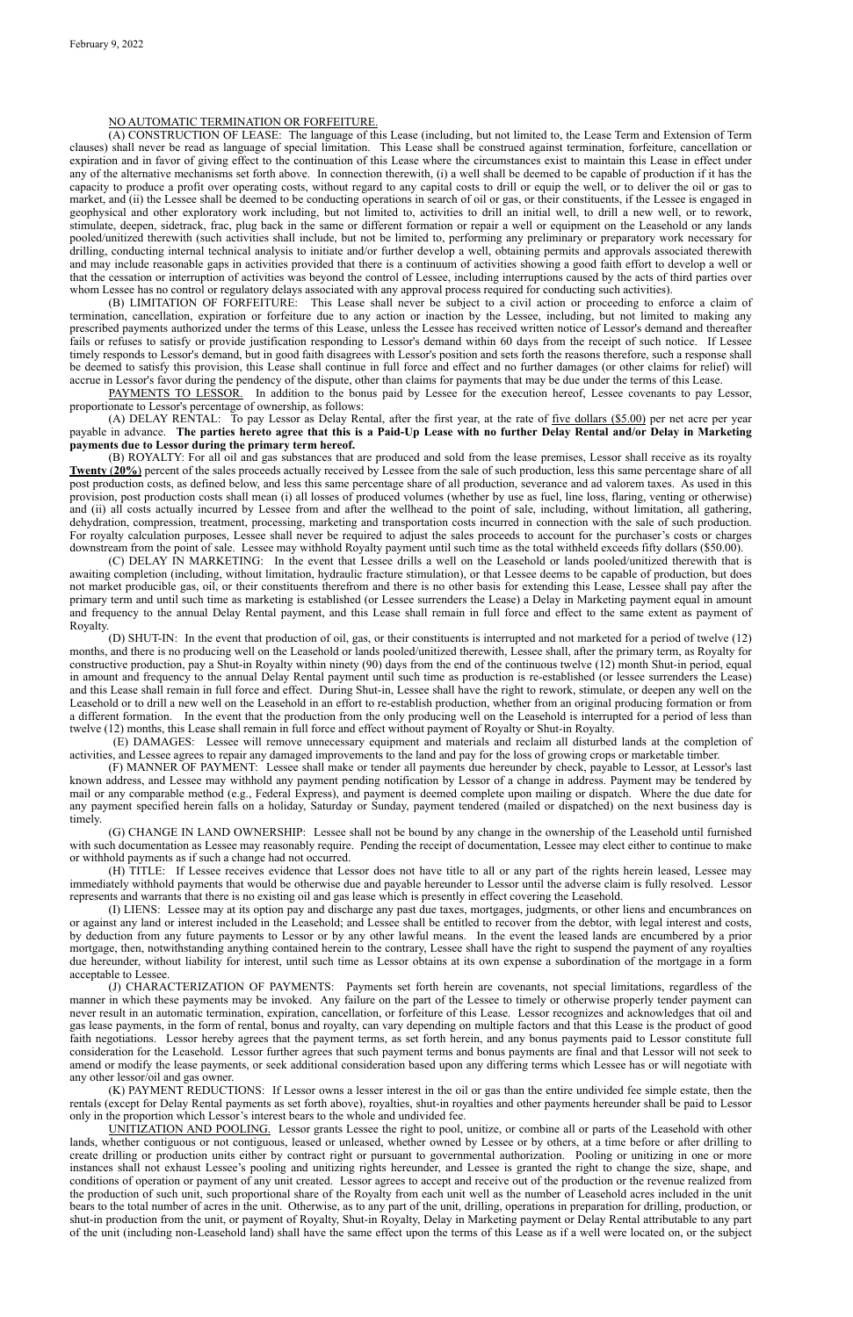# NO AUTOMATIC TERMINATION OR FORFEITURE.

(A) CONSTRUCTION OF LEASE: The language of this Lease (including, but not limited to, the Lease Term and Extension of Term clauses) shall never be read as language of special limitation. This Lease shall be construed against termination, forfeiture, cancellation or expiration and in favor of giving effect to the continuation of this Lease where the circumstances exist to maintain this Lease in effect under any of the alternative mechanisms set forth above. In connection therewith, (i) a well shall be deemed to be capable of production if it has the capacity to produce a profit over operating costs, without regard to any capital costs to drill or equip the well, or to deliver the oil or gas to market, and (ii) the Lessee shall be deemed to be conducting operations in search of oil or gas, or their constituents, if the Lessee is engaged in geophysical and other exploratory work including, but not limited to, activities to drill an initial well, to drill a new well, or to rework, stimulate, deepen, sidetrack, frac, plug back in the same or different formation or repair a well or equipment on the Leasehold or any lands pooled/unitized therewith (such activities shall include, but not be limited to, performing any preliminary or preparatory work necessary for drilling, conducting internal technical analysis to initiate and/or further develop a well, obtaining permits and approvals associated therewith and may include reasonable gaps in activities provided that there is a continuum of activities showing a good faith effort to develop a well or that the cessation or interruption of activities was beyond the control of Lessee, including interruptions caused by the acts of third parties over whom Lessee has no control or regulatory delays associated with any approval process required for conducting such activities).

(B) LIMITATION OF FORFEITURE: This Lease shall never be subject to a civil action or proceeding to enforce a claim of termination, cancellation, expiration or forfeiture due to any action or inaction by the Lessee, including, but not limited to making any prescribed payments authorized under the terms of this Lease, unless the Lessee has received written notice of Lessor's demand and thereafter fails or refuses to satisfy or provide justification responding to Lessor's demand within 60 days from the receipt of such notice. If Lessee timely responds to Lessor's demand, but in good faith disagrees with Lessor's position and sets forth the reasons therefore, such a response shall be deemed to satisfy this provision, this Lease shall continue in full force and effect and no further damages (or other claims for relief) will accrue in Lessor's favor during the pendency of the dispute, other than claims for payments that may be due under the terms of this Lease.

PAYMENTS TO LESSOR. In addition to the bonus paid by Lessee for the execution hereof, Lessee covenants to pay Lessor, proportionate to Lessor's percentage of ownership, as follows:

(A) DELAY RENTAL: To pay Lessor as Delay Rental, after the first year, at the rate of five dollars (\$5.00) per net acre per year payable in advance. **The parties hereto agree that this is a Paid-Up Lease with no further Delay Rental and/or Delay in Marketing payments due to Lessor during the primary term hereof.**

(B) ROYALTY: For all oil and gas substances that are produced and sold from the lease premises, Lessor shall receive as its royalty **Twenty** (**20%**) percent of the sales proceeds actually received by Lessee from the sale of such production, less this same percentage share of all post production costs, as defined below, and less this same percentage share of all production, severance and ad valorem taxes. As used in this provision, post production costs shall mean (i) all losses of produced volumes (whether by use as fuel, line loss, flaring, venting or otherwise) and (ii) all costs actually incurred by Lessee from and after the wellhead to the point of sale, including, without limitation, all gathering, dehydration, compression, treatment, processing, marketing and transportation costs incurred in connection with the sale of such production. For royalty calculation purposes, Lessee shall never be required to adjust the sales proceeds to account for the purchaser's costs or charges downstream from the point of sale. Lessee may withhold Royalty payment until such time as the total withheld exceeds fifty dollars (\$50.00).

(C) DELAY IN MARKETING: In the event that Lessee drills a well on the Leasehold or lands pooled/unitized therewith that is awaiting completion (including, without limitation, hydraulic fracture stimulation), or that Lessee deems to be capable of production, but does not market producible gas, oil, or their constituents therefrom and there is no other basis for extending this Lease, Lessee shall pay after the primary term and until such time as marketing is established (or Lessee surrenders the Lease) a Delay in Marketing payment equal in amount and frequency to the annual Delay Rental payment, and this Lease shall remain in full force and effect to the same extent as payment of Royalty.

(D) SHUT-IN: In the event that production of oil, gas, or their constituents is interrupted and not marketed for a period of twelve (12) months, and there is no producing well on the Leasehold or lands pooled/unitized therewith, Lessee shall, after the primary term, as Royalty for constructive production, pay a Shut-in Royalty within ninety (90) days from the end of the continuous twelve (12) month Shut-in period, equal in amount and frequency to the annual Delay Rental payment until such time as production is re-established (or lessee surrenders the Lease) and this Lease shall remain in full force and effect. During Shut-in, Lessee shall have the right to rework, stimulate, or deepen any well on the Leasehold or to drill a new well on the Leasehold in an effort to re-establish production, whether from an original producing formation or from a different formation. In the event that the production from the only producing well on the Leasehold is interrupted for a period of less than twelve (12) months, this Lease shall remain in full force and effect without payment of Royalty or Shut-in Royalty.

 (E) DAMAGES: Lessee will remove unnecessary equipment and materials and reclaim all disturbed lands at the completion of activities, and Lessee agrees to repair any damaged improvements to the land and pay for the loss of growing crops or marketable timber.

(F) MANNER OF PAYMENT: Lessee shall make or tender all payments due hereunder by check, payable to Lessor, at Lessor's last known address, and Lessee may withhold any payment pending notification by Lessor of a change in address. Payment may be tendered by mail or any comparable method (e.g., Federal Express), and payment is deemed complete upon mailing or dispatch. Where the due date for any payment specified herein falls on a holiday, Saturday or Sunday, payment tendered (mailed or dispatched) on the next business day is timely.

(G) CHANGE IN LAND OWNERSHIP: Lessee shall not be bound by any change in the ownership of the Leasehold until furnished with such documentation as Lessee may reasonably require. Pending the receipt of documentation, Lessee may elect either to continue to make or withhold payments as if such a change had not occurred.

(H) TITLE: If Lessee receives evidence that Lessor does not have title to all or any part of the rights herein leased, Lessee may immediately withhold payments that would be otherwise due and payable hereunder to Lessor until the adverse claim is fully resolved. Lessor represents and warrants that there is no existing oil and gas lease which is presently in effect covering the Leasehold.

(I) LIENS: Lessee may at its option pay and discharge any past due taxes, mortgages, judgments, or other liens and encumbrances on or against any land or interest included in the Leasehold; and Lessee shall be entitled to recover from the debtor, with legal interest and costs, by deduction from any future payments to Lessor or by any other lawful means. In the event the leased lands are encumbered by a prior mortgage, then, notwithstanding anything contained herein to the contrary, Lessee shall have the right to suspend the payment of any royalties due hereunder, without liability for interest, until such time as Lessor obtains at its own expense a subordination of the mortgage in a form

acceptable to Lessee.

(J) CHARACTERIZATION OF PAYMENTS: Payments set forth herein are covenants, not special limitations, regardless of the manner in which these payments may be invoked. Any failure on the part of the Lessee to timely or otherwise properly tender payment can never result in an automatic termination, expiration, cancellation, or forfeiture of this Lease. Lessor recognizes and acknowledges that oil and gas lease payments, in the form of rental, bonus and royalty, can vary depending on multiple factors and that this Lease is the product of good faith negotiations. Lessor hereby agrees that the payment terms, as set forth herein, and any bonus payments paid to Lessor constitute full consideration for the Leasehold. Lessor further agrees that such payment terms and bonus payments are final and that Lessor will not seek to amend or modify the lease payments, or seek additional consideration based upon any differing terms which Lessee has or will negotiate with any other lessor/oil and gas owner.

(K) PAYMENT REDUCTIONS: If Lessor owns a lesser interest in the oil or gas than the entire undivided fee simple estate, then the rentals (except for Delay Rental payments as set forth above), royalties, shut-in royalties and other payments hereunder shall be paid to Lessor only in the proportion which Lessor's interest bears to the whole and undivided fee.

UNITIZATION AND POOLING. Lessor grants Lessee the right to pool, unitize, or combine all or parts of the Leasehold with other lands, whether contiguous or not contiguous, leased or unleased, whether owned by Lessee or by others, at a time before or after drilling to create drilling or production units either by contract right or pursuant to governmental authorization. Pooling or unitizing in one or more instances shall not exhaust Lessee's pooling and unitizing rights hereunder, and Lessee is granted the right to change the size, shape, and conditions of operation or payment of any unit created. Lessor agrees to accept and receive out of the production or the revenue realized from the production of such unit, such proportional share of the Royalty from each unit well as the number of Leasehold acres included in the unit bears to the total number of acres in the unit. Otherwise, as to any part of the unit, drilling, operations in preparation for drilling, production, or shut-in production from the unit, or payment of Royalty, Shut-in Royalty, Delay in Marketing payment or Delay Rental attributable to any part of the unit (including non-Leasehold land) shall have the same effect upon the terms of this Lease as if a well were located on, or the subject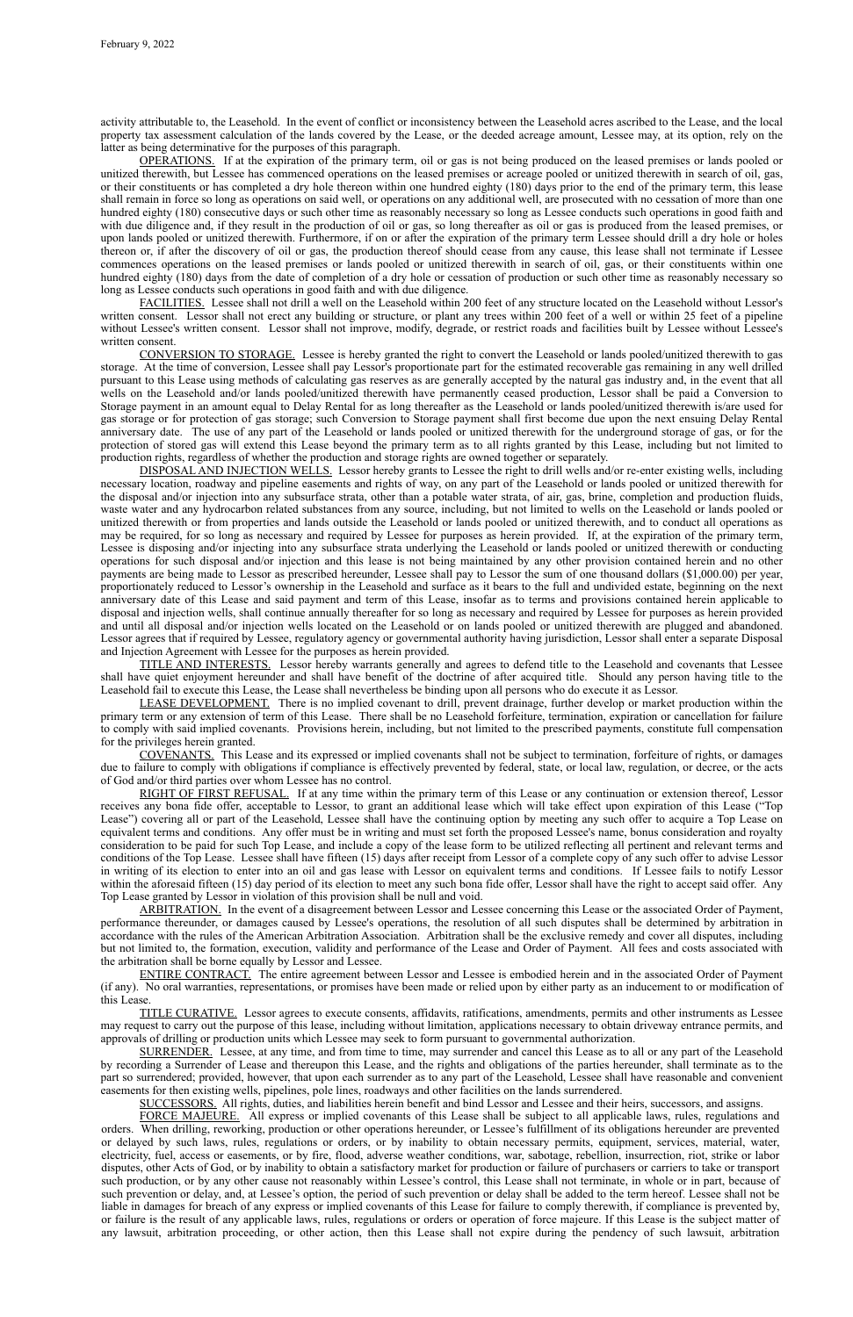activity attributable to, the Leasehold. In the event of conflict or inconsistency between the Leasehold acres ascribed to the Lease, and the local property tax assessment calculation of the lands covered by the Lease, or the deeded acreage amount, Lessee may, at its option, rely on the latter as being determinative for the purposes of this paragraph.

OPERATIONS. If at the expiration of the primary term, oil or gas is not being produced on the leased premises or lands pooled or unitized therewith, but Lessee has commenced operations on the leased premises or acreage pooled or unitized therewith in search of oil, gas, or their constituents or has completed a dry hole thereon within one hundred eighty (180) days prior to the end of the primary term, this lease shall remain in force so long as operations on said well, or operations on any additional well, are prosecuted with no cessation of more than one hundred eighty (180) consecutive days or such other time as reasonably necessary so long as Lessee conducts such operations in good faith and with due diligence and, if they result in the production of oil or gas, so long thereafter as oil or gas is produced from the leased premises, or upon lands pooled or unitized therewith. Furthermore, if on or after the expiration of the primary term Lessee should drill a dry hole or holes thereon or, if after the discovery of oil or gas, the production thereof should cease from any cause, this lease shall not terminate if Lessee commences operations on the leased premises or lands pooled or unitized therewith in search of oil, gas, or their constituents within one hundred eighty (180) days from the date of completion of a dry hole or cessation of production or such other time as reasonably necessary so long as Lessee conducts such operations in good faith and with due diligence.

FACILITIES. Lessee shall not drill a well on the Leasehold within 200 feet of any structure located on the Leasehold without Lessor's written consent. Lessor shall not erect any building or structure, or plant any trees within 200 feet of a well or within 25 feet of a pipeline without Lessee's written consent. Lessor shall not improve, modify, degrade, or restrict roads and facilities built by Lessee without Lessee's written consent.

CONVERSION TO STORAGE. Lessee is hereby granted the right to convert the Leasehold or lands pooled/unitized therewith to gas storage. At the time of conversion, Lessee shall pay Lessor's proportionate part for the estimated recoverable gas remaining in any well drilled pursuant to this Lease using methods of calculating gas reserves as are generally accepted by the natural gas industry and, in the event that all wells on the Leasehold and/or lands pooled/unitized therewith have permanently ceased production, Lessor shall be paid a Conversion to Storage payment in an amount equal to Delay Rental for as long thereafter as the Leasehold or lands pooled/unitized therewith is/are used for gas storage or for protection of gas storage; such Conversion to Storage payment shall first become due upon the next ensuing Delay Rental anniversary date. The use of any part of the Leasehold or lands pooled or unitized therewith for the underground storage of gas, or for the protection of stored gas will extend this Lease beyond the primary term as to all rights granted by this Lease, including but not limited to production rights, regardless of whether the production and storage rights are owned together or separately.

DISPOSAL AND INJECTION WELLS. Lessor hereby grants to Lessee the right to drill wells and/or re-enter existing wells, including necessary location, roadway and pipeline easements and rights of way, on any part of the Leasehold or lands pooled or unitized therewith for the disposal and/or injection into any subsurface strata, other than a potable water strata, of air, gas, brine, completion and production fluids, waste water and any hydrocarbon related substances from any source, including, but not limited to wells on the Leasehold or lands pooled or unitized therewith or from properties and lands outside the Leasehold or lands pooled or unitized therewith, and to conduct all operations as may be required, for so long as necessary and required by Lessee for purposes as herein provided. If, at the expiration of the primary term, Lessee is disposing and/or injecting into any subsurface strata underlying the Leasehold or lands pooled or unitized therewith or conducting operations for such disposal and/or injection and this lease is not being maintained by any other provision contained herein and no other payments are being made to Lessor as prescribed hereunder, Lessee shall pay to Lessor the sum of one thousand dollars (\$1,000.00) per year, proportionately reduced to Lessor's ownership in the Leasehold and surface as it bears to the full and undivided estate, beginning on the next anniversary date of this Lease and said payment and term of this Lease, insofar as to terms and provisions contained herein applicable to disposal and injection wells, shall continue annually thereafter for so long as necessary and required by Lessee for purposes as herein provided and until all disposal and/or injection wells located on the Leasehold or on lands pooled or unitized therewith are plugged and abandoned. Lessor agrees that if required by Lessee, regulatory agency or governmental authority having jurisdiction, Lessor shall enter a separate Disposal and Injection Agreement with Lessee for the purposes as herein provided.

TITLE AND INTERESTS. Lessor hereby warrants generally and agrees to defend title to the Leasehold and covenants that Lessee shall have quiet enjoyment hereunder and shall have benefit of the doctrine of after acquired title. Should any person having title to the Leasehold fail to execute this Lease, the Lease shall nevertheless be binding upon all persons who do execute it as Lessor.

LEASE DEVELOPMENT. There is no implied covenant to drill, prevent drainage, further develop or market production within the primary term or any extension of term of this Lease. There shall be no Leasehold forfeiture, termination, expiration or cancellation for failure to comply with said implied covenants. Provisions herein, including, but not limited to the prescribed payments, constitute full compensation for the privileges herein granted.

COVENANTS. This Lease and its expressed or implied covenants shall not be subject to termination, forfeiture of rights, or damages due to failure to comply with obligations if compliance is effectively prevented by federal, state, or local law, regulation, or decree, or the acts of God and/or third parties over whom Lessee has no control.

RIGHT OF FIRST REFUSAL. If at any time within the primary term of this Lease or any continuation or extension thereof, Lessor receives any bona fide offer, acceptable to Lessor, to grant an additional lease which will take effect upon expiration of this Lease ("Top Lease") covering all or part of the Leasehold, Lessee shall have the continuing option by meeting any such offer to acquire a Top Lease on equivalent terms and conditions. Any offer must be in writing and must set forth the proposed Lessee's name, bonus consideration and royalty consideration to be paid for such Top Lease, and include a copy of the lease form to be utilized reflecting all pertinent and relevant terms and conditions of the Top Lease. Lessee shall have fifteen (15) days after receipt from Lessor of a complete copy of any such offer to advise Lessor in writing of its election to enter into an oil and gas lease with Lessor on equivalent terms and conditions. If Lessee fails to notify Lessor within the aforesaid fifteen (15) day period of its election to meet any such bona fide offer, Lessor shall have the right to accept said offer. Any Top Lease granted by Lessor in violation of this provision shall be null and void.

ARBITRATION. In the event of a disagreement between Lessor and Lessee concerning this Lease or the associated Order of Payment, performance thereunder, or damages caused by Lessee's operations, the resolution of all such disputes shall be determined by arbitration in accordance with the rules of the American Arbitration Association. Arbitration shall be the exclusive remedy and cover all disputes, including but not limited to, the formation, execution, validity and performance of the Lease and Order of Payment. All fees and costs associated with the arbitration shall be borne equally by Lessor and Lessee.

ENTIRE CONTRACT. The entire agreement between Lessor and Lessee is embodied herein and in the associated Order of Payment (if any). No oral warranties, representations, or promises have been made or relied upon by either party as an inducement to or modification of this Lease.

TITLE CURATIVE. Lessor agrees to execute consents, affidavits, ratifications, amendments, permits and other instruments as Lessee may request to carry out the purpose of this lease, including without limitation, applications necessary to obtain driveway entrance permits, and approvals of drilling or production units which Lessee may seek to form pursuant to governmental authorization.

SURRENDER. Lessee, at any time, and from time to time, may surrender and cancel this Lease as to all or any part of the Leasehold by recording a Surrender of Lease and thereupon this Lease, and the rights and obligations of the parties hereunder, shall terminate as to the part so surrendered; provided, however, that upon each surrender as to any part of the Leasehold, Lessee shall have reasonable and convenient easements for then existing wells, pipelines, pole lines, roadways and other facilities on the lands surrendered.

SUCCESSORS. All rights, duties, and liabilities herein benefit and bind Lessor and Lessee and their heirs, successors, and assigns.

FORCE MAJEURE. All express or implied covenants of this Lease shall be subject to all applicable laws, rules, regulations and orders. When drilling, reworking, production or other operations hereunder, or Lessee's fulfillment of its obligations hereunder are prevented or delayed by such laws, rules, regulations or orders, or by inability to obtain necessary permits, equipment, services, material, water, electricity, fuel, access or easements, or by fire, flood, adverse weather conditions, war, sabotage, rebellion, insurrection, riot, strike or labor disputes, other Acts of God, or by inability to obtain a satisfactory market for production or failure of purchasers or carriers to take or transport such production, or by any other cause not reasonably within Lessee's control, this Lease shall not terminate, in whole or in part, because of such prevention or delay, and, at Lessee's option, the period of such prevention or delay shall be added to the term hereof. Lessee shall not be liable in damages for breach of any express or implied covenants of this Lease for failure to comply therewith, if compliance is prevented by, or failure is the result of any applicable laws, rules, regulations or orders or operation of force majeure. If this Lease is the subject matter of any lawsuit, arbitration proceeding, or other action, then this Lease shall not expire during the pendency of such lawsuit, arbitration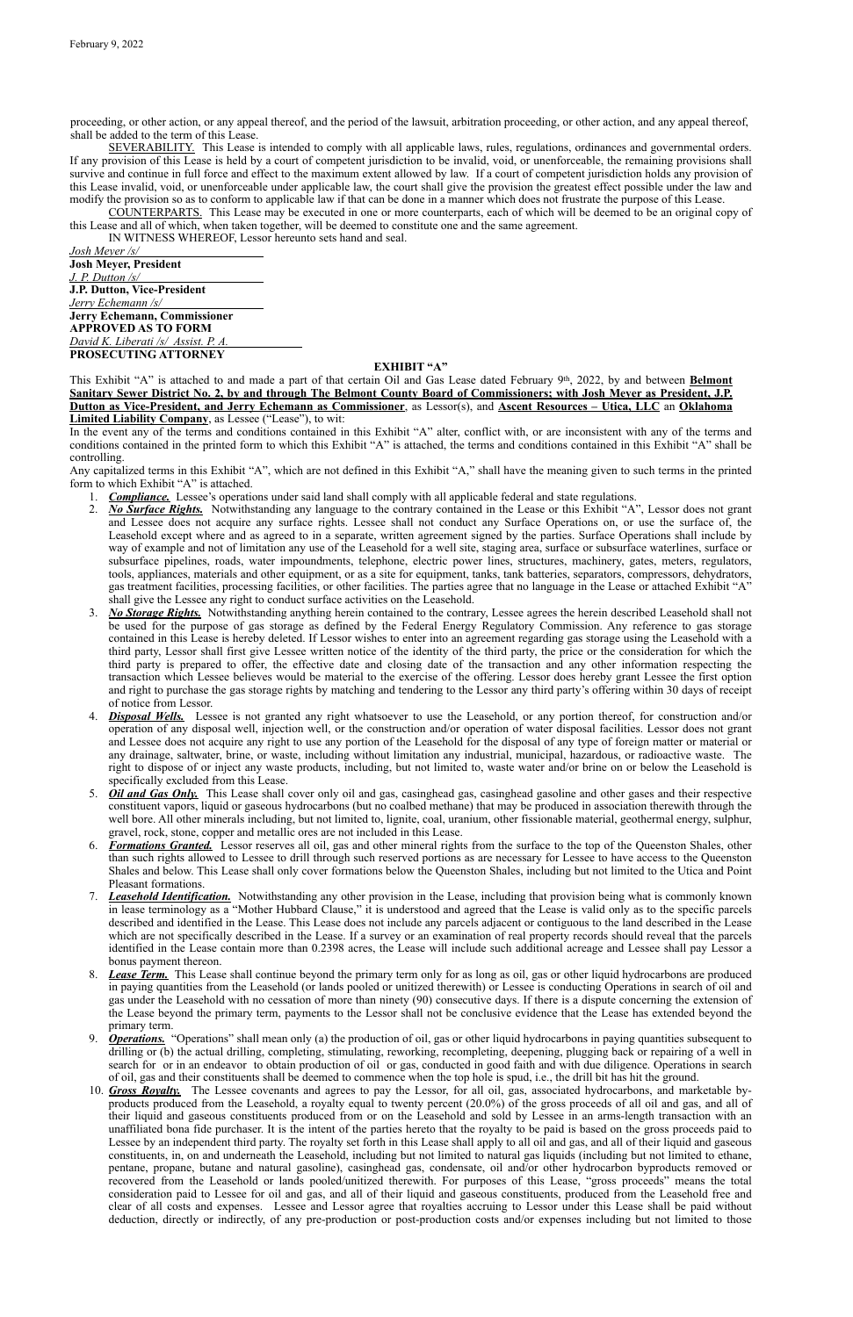proceeding, or other action, or any appeal thereof, and the period of the lawsuit, arbitration proceeding, or other action, and any appeal thereof, shall be added to the term of this Lease.

SEVERABILITY. This Lease is intended to comply with all applicable laws, rules, regulations, ordinances and governmental orders. If any provision of this Lease is held by a court of competent jurisdiction to be invalid, void, or unenforceable, the remaining provisions shall survive and continue in full force and effect to the maximum extent allowed by law. If a court of competent jurisdiction holds any provision of this Lease invalid, void, or unenforceable under applicable law, the court shall give the provision the greatest effect possible under the law and modify the provision so as to conform to applicable law if that can be done in a manner which does not frustrate the purpose of this Lease.

COUNTERPARTS. This Lease may be executed in one or more counterparts, each of which will be deemed to be an original copy of this Lease and all of which, when taken together, will be deemed to constitute one and the same agreement.

IN WITNESS WHEREOF, Lessor hereunto sets hand and seal.

*Josh Meyer /s/* **Josh Meyer, President** *J. P. Dutton /s/* **J.P. Dutton, Vice-President** *Jerry Echemann /s/* **Jerry Echemann, Commissioner APPROVED AS TO FORM** *David K. Liberati /s/ Assist. P. A.* **PROSECUTING ATTORNEY**

# **EXHIBIT "A"**

This Exhibit "A" is attached to and made a part of that certain Oil and Gas Lease dated February 9th, 2022, by and between **Belmont Sanitary Sewer District No. 2, by and through The Belmont County Board of Commissioners; with Josh Meyer as President, J.P. Dutton as Vice-President, and Jerry Echemann as Commissioner**, as Lessor(s), and **Ascent Resources – Utica, LLC** an **Oklahoma Limited Liability Company**, as Lessee ("Lease"), to wit:

In the event any of the terms and conditions contained in this Exhibit "A" alter, conflict with, or are inconsistent with any of the terms and conditions contained in the printed form to which this Exhibit "A" is attached, the terms and conditions contained in this Exhibit "A" shall be controlling.

Any capitalized terms in this Exhibit "A", which are not defined in this Exhibit "A," shall have the meaning given to such terms in the printed form to which Exhibit "A" is attached.

- 1. *Compliance.* Lessee's operations under said land shall comply with all applicable federal and state regulations.
- 2. *No Surface Rights.* Notwithstanding any language to the contrary contained in the Lease or this Exhibit "A", Lessor does not grant and Lessee does not acquire any surface rights. Lessee shall not conduct any Surface Operations on, or use the surface of, the Leasehold except where and as agreed to in a separate, written agreement signed by the parties. Surface Operations shall include by way of example and not of limitation any use of the Leasehold for a well site, staging area, surface or subsurface waterlines, surface or subsurface pipelines, roads, water impoundments, telephone, electric power lines, structures, machinery, gates, meters, regulators, tools, appliances, materials and other equipment, or as a site for equipment, tanks, tank batteries, separators, compressors, dehydrators, gas treatment facilities, processing facilities, or other facilities. The parties agree that no language in the Lease or attached Exhibit "A" shall give the Lessee any right to conduct surface activities on the Leasehold.
- 3. *No Storage Rights.* Notwithstanding anything herein contained to the contrary, Lessee agrees the herein described Leasehold shall not be used for the purpose of gas storage as defined by the Federal Energy Regulatory Commission. Any reference to gas storage contained in this Lease is hereby deleted. If Lessor wishes to enter into an agreement regarding gas storage using the Leasehold with a third party, Lessor shall first give Lessee written notice of the identity of the third party, the price or the consideration for which the third party is prepared to offer, the effective date and closing date of the transaction and any other information respecting the transaction which Lessee believes would be material to the exercise of the offering. Lessor does hereby grant Lessee the first option and right to purchase the gas storage rights by matching and tendering to the Lessor any third party's offering within 30 days of receipt of notice from Lessor.
- 4. *Disposal Wells.* Lessee is not granted any right whatsoever to use the Leasehold, or any portion thereof, for construction and/or operation of any disposal well, injection well, or the construction and/or operation of water disposal facilities. Lessor does not grant and Lessee does not acquire any right to use any portion of the Leasehold for the disposal of any type of foreign matter or material or any drainage, saltwater, brine, or waste, including without limitation any industrial, municipal, hazardous, or radioactive waste. The right to dispose of or inject any waste products, including, but not limited to, waste water and/or brine on or below the Leasehold is specifically excluded from this Lease.
- 5. *Oil and Gas Only.* This Lease shall cover only oil and gas, casinghead gas, casinghead gasoline and other gases and their respective constituent vapors, liquid or gaseous hydrocarbons (but no coalbed methane) that may be produced in association therewith through the well bore. All other minerals including, but not limited to, lignite, coal, uranium, other fissionable material, geothermal energy, sulphur, gravel, rock, stone, copper and metallic ores are not included in this Lease.
- 6. *Formations Granted.* Lessor reserves all oil, gas and other mineral rights from the surface to the top of the Queenston Shales, other than such rights allowed to Lessee to drill through such reserved portions as are necessary for Lessee to have access to the Queenston Shales and below. This Lease shall only cover formations below the Queenston Shales, including but not limited to the Utica and Point Pleasant formations.
- 7. *Leasehold Identification.* Notwithstanding any other provision in the Lease, including that provision being what is commonly known in lease terminology as a "Mother Hubbard Clause," it is understood and agreed that the Lease is valid only as to the specific parcels described and identified in the Lease. This Lease does not include any parcels adjacent or contiguous to the land described in the Lease which are not specifically described in the Lease. If a survey or an examination of real property records should reveal that the parcels identified in the Lease contain more than 0.2398 acres, the Lease will include such additional acreage and Lessee shall pay Lessor a bonus payment thereon.
- 8. *Lease Term.* This Lease shall continue beyond the primary term only for as long as oil, gas or other liquid hydrocarbons are produced in paying quantities from the Leasehold (or lands pooled or unitized therewith) or Lessee is conducting Operations in search of oil and gas under the Leasehold with no cessation of more than ninety (90) consecutive days. If there is a dispute concerning the extension of the Lease beyond the primary term, payments to the Lessor shall not be conclusive evidence that the Lease has extended beyond the primary term.
- 9. *Operations.* "Operations" shall mean only (a) the production of oil, gas or other liquid hydrocarbons in paying quantities subsequent to drilling or (b) the actual drilling, completing, stimulating, reworking, recompleting, deepening, plugging back or repairing of a well in search for or in an endeavor to obtain production of oil or gas, conducted in good faith and with due diligence. Operations in search of oil, gas and their constituents shall be deemed to commence when the top hole is spud, i.e., the drill bit has hit the ground.
- 10. *Gross Royalty.* The Lessee covenants and agrees to pay the Lessor, for all oil, gas, associated hydrocarbons, and marketable byproducts produced from the Leasehold, a royalty equal to twenty percent (20.0%) of the gross proceeds of all oil and gas, and all of their liquid and gaseous constituents produced from or on the Leasehold and sold by Lessee in an arms-length transaction with an unaffiliated bona fide purchaser. It is the intent of the parties hereto that the royalty to be paid is based on the gross proceeds paid to Lessee by an independent third party. The royalty set forth in this Lease shall apply to all oil and gas, and all of their liquid and gaseous constituents, in, on and underneath the Leasehold, including but not limited to natural gas liquids (including but not limited to ethane, pentane, propane, butane and natural gasoline), casinghead gas, condensate, oil and/or other hydrocarbon byproducts removed or recovered from the Leasehold or lands pooled/unitized therewith. For purposes of this Lease, "gross proceeds" means the total consideration paid to Lessee for oil and gas, and all of their liquid and gaseous constituents, produced from the Leasehold free and clear of all costs and expenses. Lessee and Lessor agree that royalties accruing to Lessor under this Lease shall be paid without deduction, directly or indirectly, of any pre-production or post-production costs and/or expenses including but not limited to those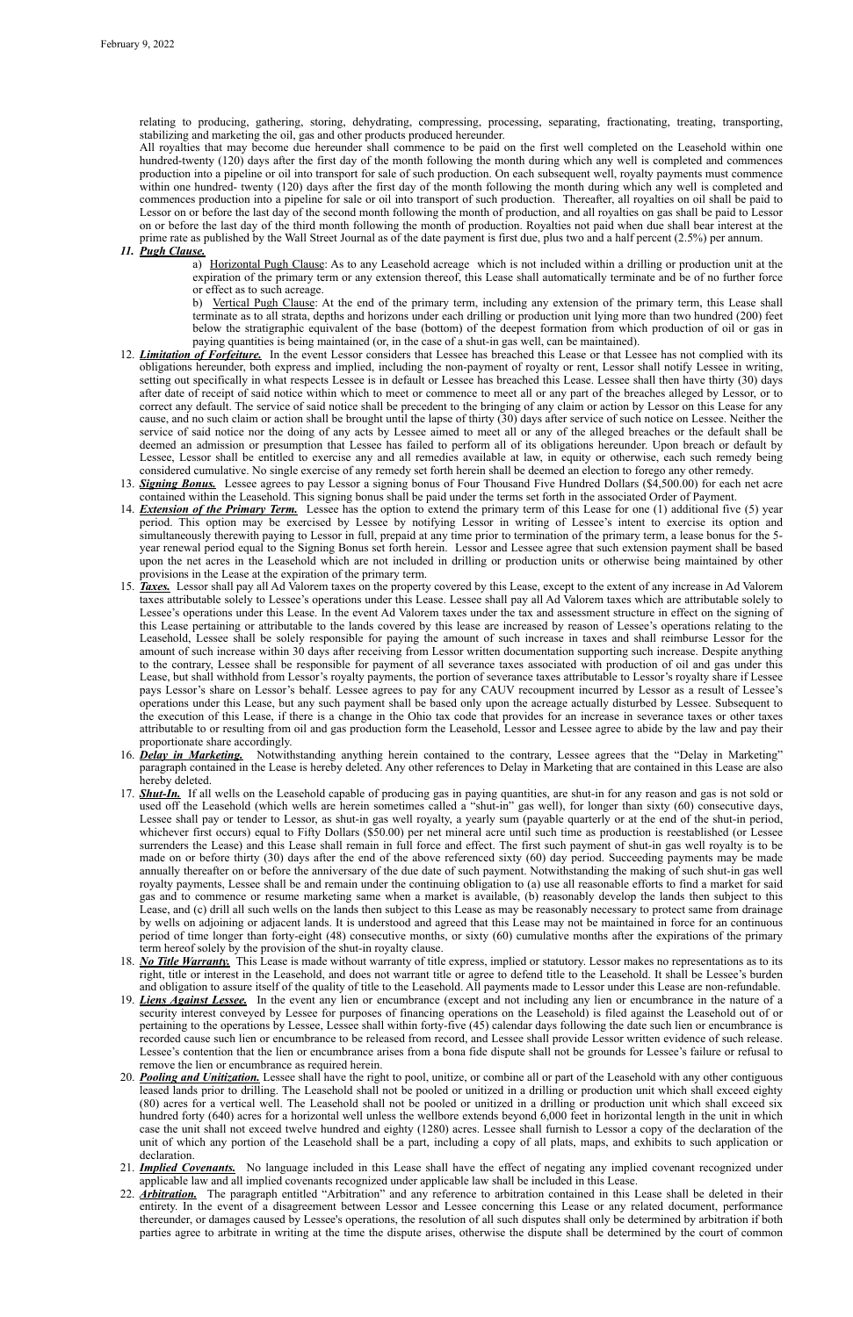relating to producing, gathering, storing, dehydrating, compressing, processing, separating, fractionating, treating, transporting, stabilizing and marketing the oil, gas and other products produced hereunder.

All royalties that may become due hereunder shall commence to be paid on the first well completed on the Leasehold within one hundred-twenty (120) days after the first day of the month following the month during which any well is completed and commences production into a pipeline or oil into transport for sale of such production. On each subsequent well, royalty payments must commence within one hundred- twenty (120) days after the first day of the month following the month during which any well is completed and commences production into a pipeline for sale or oil into transport of such production. Thereafter, all royalties on oil shall be paid to Lessor on or before the last day of the second month following the month of production, and all royalties on gas shall be paid to Lessor on or before the last day of the third month following the month of production. Royalties not paid when due shall bear interest at the prime rate as published by the Wall Street Journal as of the date payment is first due, plus two and a half percent (2.5%) per annum.

#### *11. Pugh Clause.*

a) Horizontal Pugh Clause: As to any Leasehold acreage which is not included within a drilling or production unit at the expiration of the primary term or any extension thereof, this Lease shall automatically terminate and be of no further force or effect as to such acreage.

b) Vertical Pugh Clause: At the end of the primary term, including any extension of the primary term, this Lease shall terminate as to all strata, depths and horizons under each drilling or production unit lying more than two hundred (200) feet below the stratigraphic equivalent of the base (bottom) of the deepest formation from which production of oil or gas in paying quantities is being maintained (or, in the case of a shut-in gas well, can be maintained).

- 12. *Limitation of Forfeiture.* In the event Lessor considers that Lessee has breached this Lease or that Lessee has not complied with its obligations hereunder, both express and implied, including the non-payment of royalty or rent, Lessor shall notify Lessee in writing, setting out specifically in what respects Lessee is in default or Lessee has breached this Lease. Lessee shall then have thirty (30) days after date of receipt of said notice within which to meet or commence to meet all or any part of the breaches alleged by Lessor, or to correct any default. The service of said notice shall be precedent to the bringing of any claim or action by Lessor on this Lease for any cause, and no such claim or action shall be brought until the lapse of thirty (30) days after service of such notice on Lessee. Neither the service of said notice nor the doing of any acts by Lessee aimed to meet all or any of the alleged breaches or the default shall be deemed an admission or presumption that Lessee has failed to perform all of its obligations hereunder. Upon breach or default by Lessee, Lessor shall be entitled to exercise any and all remedies available at law, in equity or otherwise, each such remedy being considered cumulative. No single exercise of any remedy set forth herein shall be deemed an election to forego any other remedy.
- 13. *Signing Bonus.* Lessee agrees to pay Lessor a signing bonus of Four Thousand Five Hundred Dollars (\$4,500.00) for each net acre contained within the Leasehold. This signing bonus shall be paid under the terms set forth in the associated Order of Payment.
- 14. *Extension of the Primary Term.* Lessee has the option to extend the primary term of this Lease for one (1) additional five (5) year period. This option may be exercised by Lessee by notifying Lessor in writing of Lessee's intent to exercise its option and simultaneously therewith paying to Lessor in full, prepaid at any time prior to termination of the primary term, a lease bonus for the 5 year renewal period equal to the Signing Bonus set forth herein. Lessor and Lessee agree that such extension payment shall be based upon the net acres in the Leasehold which are not included in drilling or production units or otherwise being maintained by other provisions in the Lease at the expiration of the primary term.
- 15. *Taxes.* Lessor shall pay all Ad Valorem taxes on the property covered by this Lease, except to the extent of any increase in Ad Valorem taxes attributable solely to Lessee's operations under this Lease. Lessee shall pay all Ad Valorem taxes which are attributable solely to Lessee's operations under this Lease. In the event Ad Valorem taxes under the tax and assessment structure in effect on the signing of this Lease pertaining or attributable to the lands covered by this lease are increased by reason of Lessee's operations relating to the Leasehold, Lessee shall be solely responsible for paying the amount of such increase in taxes and shall reimburse Lessor for the amount of such increase within 30 days after receiving from Lessor written documentation supporting such increase. Despite anything to the contrary, Lessee shall be responsible for payment of all severance taxes associated with production of oil and gas under this Lease, but shall withhold from Lessor's royalty payments, the portion of severance taxes attributable to Lessor's royalty share if Lessee pays Lessor's share on Lessor's behalf. Lessee agrees to pay for any CAUV recoupment incurred by Lessor as a result of Lessee's operations under this Lease, but any such payment shall be based only upon the acreage actually disturbed by Lessee. Subsequent to the execution of this Lease, if there is a change in the Ohio tax code that provides for an increase in severance taxes or other taxes attributable to or resulting from oil and gas production form the Leasehold, Lessor and Lessee agree to abide by the law and pay their proportionate share accordingly.
- 16. *Delay in Marketing.* Notwithstanding anything herein contained to the contrary, Lessee agrees that the "Delay in Marketing" paragraph contained in the Lease is hereby deleted. Any other references to Delay in Marketing that are contained in this Lease are also hereby deleted.
- 17. *Shut-In.* If all wells on the Leasehold capable of producing gas in paying quantities, are shut-in for any reason and gas is not sold or used off the Leasehold (which wells are herein sometimes called a "shut-in" gas well), for longer than sixty (60) consecutive days, Lessee shall pay or tender to Lessor, as shut-in gas well royalty, a yearly sum (payable quarterly or at the end of the shut-in period, whichever first occurs) equal to Fifty Dollars (\$50.00) per net mineral acre until such time as production is reestablished (or Lessee surrenders the Lease) and this Lease shall remain in full force and effect. The first such payment of shut-in gas well royalty is to be made on or before thirty (30) days after the end of the above referenced sixty (60) day period. Succeeding payments may be made annually thereafter on or before the anniversary of the due date of such payment. Notwithstanding the making of such shut-in gas well royalty payments, Lessee shall be and remain under the continuing obligation to (a) use all reasonable efforts to find a market for said gas and to commence or resume marketing same when a market is available, (b) reasonably develop the lands then subject to this Lease, and (c) drill all such wells on the lands then subject to this Lease as may be reasonably necessary to protect same from drainage by wells on adjoining or adjacent lands. It is understood and agreed that this Lease may not be maintained in force for an continuous period of time longer than forty-eight (48) consecutive months, or sixty (60) cumulative months after the expirations of the primary term hereof solely by the provision of the shut-in royalty clause.
- 18. *No Title Warranty.* This Lease is made without warranty of title express, implied or statutory. Lessor makes no representations as to its
	- right, title or interest in the Leasehold, and does not warrant title or agree to defend title to the Leasehold. It shall be Lessee's burden and obligation to assure itself of the quality of title to the Leasehold. All payments made to Lessor under this Lease are non-refundable.
- 19. *Liens Against Lessee.* In the event any lien or encumbrance (except and not including any lien or encumbrance in the nature of a security interest conveyed by Lessee for purposes of financing operations on the Leasehold) is filed against the Leasehold out of or pertaining to the operations by Lessee, Lessee shall within forty-five (45) calendar days following the date such lien or encumbrance is recorded cause such lien or encumbrance to be released from record, and Lessee shall provide Lessor written evidence of such release. Lessee's contention that the lien or encumbrance arises from a bona fide dispute shall not be grounds for Lessee's failure or refusal to remove the lien or encumbrance as required herein.
- 20. *Pooling and Unitization.* Lessee shall have the right to pool, unitize, or combine all or part of the Leasehold with any other contiguous leased lands prior to drilling. The Leasehold shall not be pooled or unitized in a drilling or production unit which shall exceed eighty (80) acres for a vertical well. The Leasehold shall not be pooled or unitized in a drilling or production unit which shall exceed six hundred forty (640) acres for a horizontal well unless the wellbore extends beyond 6,000 feet in horizontal length in the unit in which case the unit shall not exceed twelve hundred and eighty (1280) acres. Lessee shall furnish to Lessor a copy of the declaration of the unit of which any portion of the Leasehold shall be a part, including a copy of all plats, maps, and exhibits to such application or declaration.
- 21. *Implied Covenants.* No language included in this Lease shall have the effect of negating any implied covenant recognized under applicable law and all implied covenants recognized under applicable law shall be included in this Lease.
- 22. *Arbitration.* The paragraph entitled "Arbitration" and any reference to arbitration contained in this Lease shall be deleted in their entirety. In the event of a disagreement between Lessor and Lessee concerning this Lease or any related document, performance thereunder, or damages caused by Lessee's operations, the resolution of all such disputes shall only be determined by arbitration if both parties agree to arbitrate in writing at the time the dispute arises, otherwise the dispute shall be determined by the court of common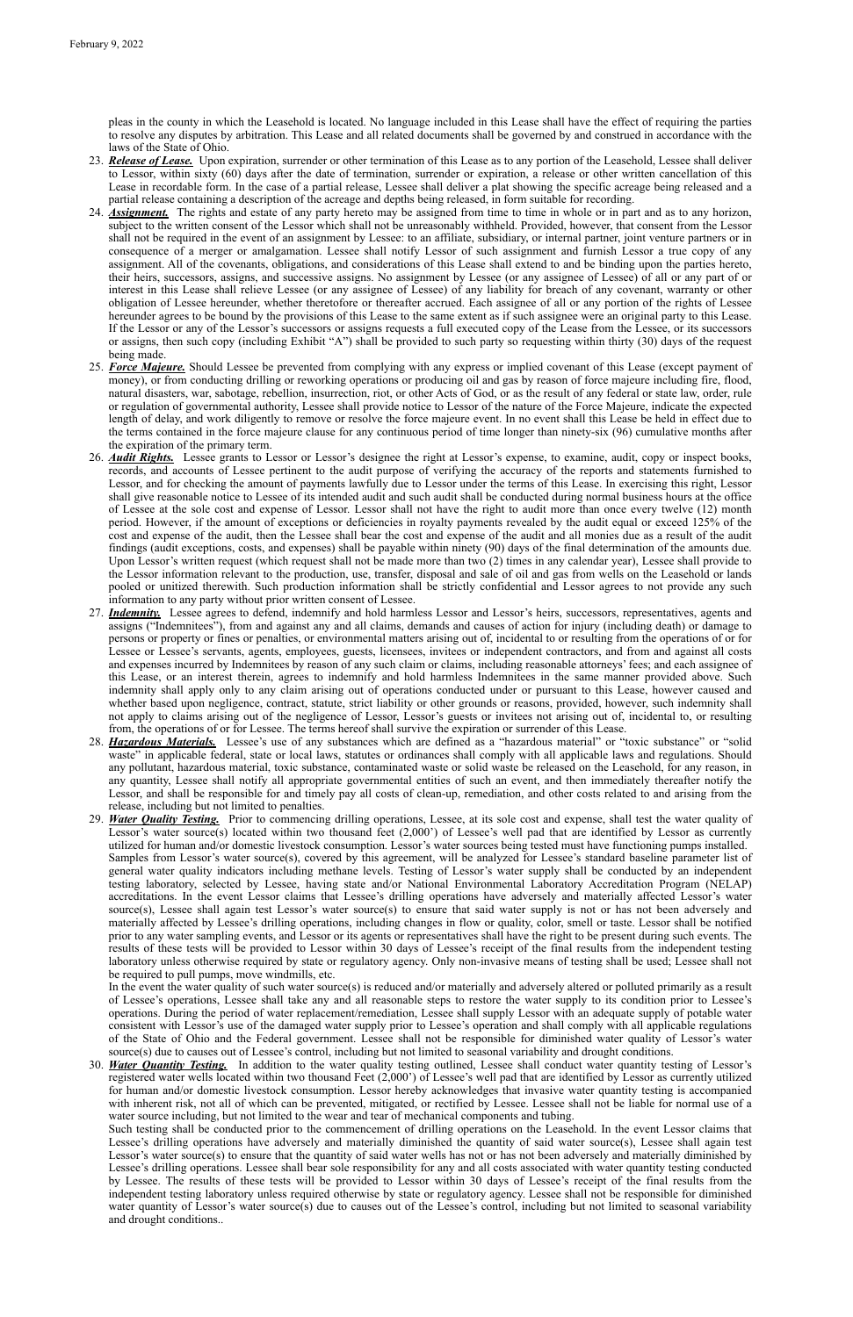pleas in the county in which the Leasehold is located. No language included in this Lease shall have the effect of requiring the parties to resolve any disputes by arbitration. This Lease and all related documents shall be governed by and construed in accordance with the laws of the State of Ohio.

In the event the water quality of such water source(s) is reduced and/or materially and adversely altered or polluted primarily as a result of Lessee's operations, Lessee shall take any and all reasonable steps to restore the water supply to its condition prior to Lessee's operations. During the period of water replacement/remediation, Lessee shall supply Lessor with an adequate supply of potable water consistent with Lessor's use of the damaged water supply prior to Lessee's operation and shall comply with all applicable regulations of the State of Ohio and the Federal government. Lessee shall not be responsible for diminished water quality of Lessor's water source(s) due to causes out of Lessee's control, including but not limited to seasonal variability and drought conditions.

- 23. *Release of Lease.* Upon expiration, surrender or other termination of this Lease as to any portion of the Leasehold, Lessee shall deliver to Lessor, within sixty (60) days after the date of termination, surrender or expiration, a release or other written cancellation of this Lease in recordable form. In the case of a partial release, Lessee shall deliver a plat showing the specific acreage being released and a partial release containing a description of the acreage and depths being released, in form suitable for recording.
- 24. *Assignment.* The rights and estate of any party hereto may be assigned from time to time in whole or in part and as to any horizon, subject to the written consent of the Lessor which shall not be unreasonably withheld. Provided, however, that consent from the Lessor shall not be required in the event of an assignment by Lessee: to an affiliate, subsidiary, or internal partner, joint venture partners or in consequence of a merger or amalgamation. Lessee shall notify Lessor of such assignment and furnish Lessor a true copy of any assignment. All of the covenants, obligations, and considerations of this Lease shall extend to and be binding upon the parties hereto, their heirs, successors, assigns, and successive assigns. No assignment by Lessee (or any assignee of Lessee) of all or any part of or interest in this Lease shall relieve Lessee (or any assignee of Lessee) of any liability for breach of any covenant, warranty or other obligation of Lessee hereunder, whether theretofore or thereafter accrued. Each assignee of all or any portion of the rights of Lessee hereunder agrees to be bound by the provisions of this Lease to the same extent as if such assignee were an original party to this Lease. If the Lessor or any of the Lessor's successors or assigns requests a full executed copy of the Lease from the Lessee, or its successors or assigns, then such copy (including Exhibit "A") shall be provided to such party so requesting within thirty (30) days of the request being made.
- 25. *Force Majeure.* Should Lessee be prevented from complying with any express or implied covenant of this Lease (except payment of money), or from conducting drilling or reworking operations or producing oil and gas by reason of force majeure including fire, flood, natural disasters, war, sabotage, rebellion, insurrection, riot, or other Acts of God, or as the result of any federal or state law, order, rule or regulation of governmental authority, Lessee shall provide notice to Lessor of the nature of the Force Majeure, indicate the expected length of delay, and work diligently to remove or resolve the force majeure event. In no event shall this Lease be held in effect due to the terms contained in the force majeure clause for any continuous period of time longer than ninety-six (96) cumulative months after the expiration of the primary term.
- 26. *Audit Rights.* Lessee grants to Lessor or Lessor's designee the right at Lessor's expense, to examine, audit, copy or inspect books, records, and accounts of Lessee pertinent to the audit purpose of verifying the accuracy of the reports and statements furnished to Lessor, and for checking the amount of payments lawfully due to Lessor under the terms of this Lease. In exercising this right, Lessor shall give reasonable notice to Lessee of its intended audit and such audit shall be conducted during normal business hours at the office of Lessee at the sole cost and expense of Lessor. Lessor shall not have the right to audit more than once every twelve (12) month period. However, if the amount of exceptions or deficiencies in royalty payments revealed by the audit equal or exceed 125% of the cost and expense of the audit, then the Lessee shall bear the cost and expense of the audit and all monies due as a result of the audit findings (audit exceptions, costs, and expenses) shall be payable within ninety (90) days of the final determination of the amounts due. Upon Lessor's written request (which request shall not be made more than two (2) times in any calendar year), Lessee shall provide to the Lessor information relevant to the production, use, transfer, disposal and sale of oil and gas from wells on the Leasehold or lands pooled or unitized therewith. Such production information shall be strictly confidential and Lessor agrees to not provide any such information to any party without prior written consent of Lessee.
- 27. *Indemnity.* Lessee agrees to defend, indemnify and hold harmless Lessor and Lessor's heirs, successors, representatives, agents and assigns ("Indemnitees"), from and against any and all claims, demands and causes of action for injury (including death) or damage to persons or property or fines or penalties, or environmental matters arising out of, incidental to or resulting from the operations of or for Lessee or Lessee's servants, agents, employees, guests, licensees, invitees or independent contractors, and from and against all costs and expenses incurred by Indemnitees by reason of any such claim or claims, including reasonable attorneys' fees; and each assignee of this Lease, or an interest therein, agrees to indemnify and hold harmless Indemnitees in the same manner provided above. Such indemnity shall apply only to any claim arising out of operations conducted under or pursuant to this Lease, however caused and whether based upon negligence, contract, statute, strict liability or other grounds or reasons, provided, however, such indemnity shall not apply to claims arising out of the negligence of Lessor, Lessor's guests or invitees not arising out of, incidental to, or resulting from, the operations of or for Lessee. The terms hereof shall survive the expiration or surrender of this Lease.
- 28. *Hazardous Materials.* Lessee's use of any substances which are defined as a "hazardous material" or "toxic substance" or "solid waste" in applicable federal, state or local laws, statutes or ordinances shall comply with all applicable laws and regulations. Should any pollutant, hazardous material, toxic substance, contaminated waste or solid waste be released on the Leasehold, for any reason, in any quantity, Lessee shall notify all appropriate governmental entities of such an event, and then immediately thereafter notify the Lessor, and shall be responsible for and timely pay all costs of clean-up, remediation, and other costs related to and arising from the release, including but not limited to penalties.
- 29. *Water Quality Testing.* Prior to commencing drilling operations, Lessee, at its sole cost and expense, shall test the water quality of Lessor's water source(s) located within two thousand feet (2,000') of Lessee's well pad that are identified by Lessor as currently utilized for human and/or domestic livestock consumption. Lessor's water sources being tested must have functioning pumps installed. Samples from Lessor's water source(s), covered by this agreement, will be analyzed for Lessee's standard baseline parameter list of general water quality indicators including methane levels. Testing of Lessor's water supply shall be conducted by an independent testing laboratory, selected by Lessee, having state and/or National Environmental Laboratory Accreditation Program (NELAP) accreditations. In the event Lessor claims that Lessee's drilling operations have adversely and materially affected Lessor's water source(s), Lessee shall again test Lessor's water source(s) to ensure that said water supply is not or has not been adversely and materially affected by Lessee's drilling operations, including changes in flow or quality, color, smell or taste. Lessor shall be notified prior to any water sampling events, and Lessor or its agents or representatives shall have the right to be present during such events. The results of these tests will be provided to Lessor within 30 days of Lessee's receipt of the final results from the independent testing laboratory unless otherwise required by state or regulatory agency. Only non-invasive means of testing shall be used; Lessee shall not

be required to pull pumps, move windmills, etc.

30. *Water Quantity Testing.* In addition to the water quality testing outlined, Lessee shall conduct water quantity testing of Lessor's registered water wells located within two thousand Feet (2,000') of Lessee's well pad that are identified by Lessor as currently utilized for human and/or domestic livestock consumption. Lessor hereby acknowledges that invasive water quantity testing is accompanied with inherent risk, not all of which can be prevented, mitigated, or rectified by Lessee. Lessee shall not be liable for normal use of a water source including, but not limited to the wear and tear of mechanical components and tubing.

Such testing shall be conducted prior to the commencement of drilling operations on the Leasehold. In the event Lessor claims that Lessee's drilling operations have adversely and materially diminished the quantity of said water source(s), Lessee shall again test Lessor's water source(s) to ensure that the quantity of said water wells has not or has not been adversely and materially diminished by Lessee's drilling operations. Lessee shall bear sole responsibility for any and all costs associated with water quantity testing conducted by Lessee. The results of these tests will be provided to Lessor within 30 days of Lessee's receipt of the final results from the independent testing laboratory unless required otherwise by state or regulatory agency. Lessee shall not be responsible for diminished water quantity of Lessor's water source(s) due to causes out of the Lessee's control, including but not limited to seasonal variability and drought conditions..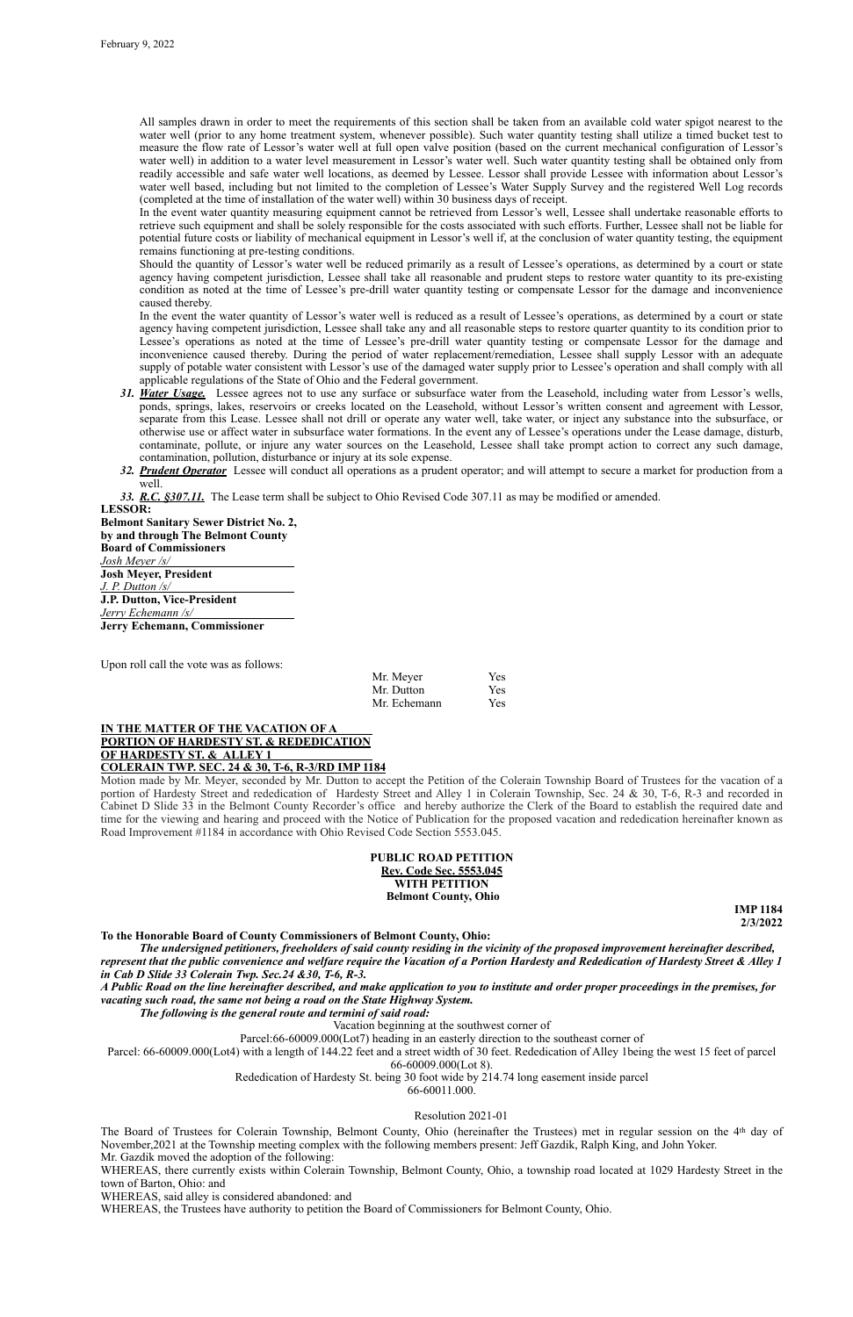All samples drawn in order to meet the requirements of this section shall be taken from an available cold water spigot nearest to the water well (prior to any home treatment system, whenever possible). Such water quantity testing shall utilize a timed bucket test to measure the flow rate of Lessor's water well at full open valve position (based on the current mechanical configuration of Lessor's water well) in addition to a water level measurement in Lessor's water well. Such water quantity testing shall be obtained only from readily accessible and safe water well locations, as deemed by Lessee. Lessor shall provide Lessee with information about Lessor's water well based, including but not limited to the completion of Lessee's Water Supply Survey and the registered Well Log records (completed at the time of installation of the water well) within 30 business days of receipt.

In the event water quantity measuring equipment cannot be retrieved from Lessor's well, Lessee shall undertake reasonable efforts to retrieve such equipment and shall be solely responsible for the costs associated with such efforts. Further, Lessee shall not be liable for potential future costs or liability of mechanical equipment in Lessor's well if, at the conclusion of water quantity testing, the equipment remains functioning at pre-testing conditions.

Should the quantity of Lessor's water well be reduced primarily as a result of Lessee's operations, as determined by a court or state agency having competent jurisdiction, Lessee shall take all reasonable and prudent steps to restore water quantity to its pre-existing condition as noted at the time of Lessee's pre-drill water quantity testing or compensate Lessor for the damage and inconvenience caused thereby.

In the event the water quantity of Lessor's water well is reduced as a result of Lessee's operations, as determined by a court or state agency having competent jurisdiction, Lessee shall take any and all reasonable steps to restore quarter quantity to its condition prior to Lessee's operations as noted at the time of Lessee's pre-drill water quantity testing or compensate Lessor for the damage and inconvenience caused thereby. During the period of water replacement/remediation, Lessee shall supply Lessor with an adequate supply of potable water consistent with Lessor's use of the damaged water supply prior to Lessee's operation and shall comply with all applicable regulations of the State of Ohio and the Federal government.

- *31. Water Usage.* Lessee agrees not to use any surface or subsurface water from the Leasehold, including water from Lessor's wells, ponds, springs, lakes, reservoirs or creeks located on the Leasehold, without Lessor's written consent and agreement with Lessor, separate from this Lease. Lessee shall not drill or operate any water well, take water, or inject any substance into the subsurface, or otherwise use or affect water in subsurface water formations. In the event any of Lessee's operations under the Lease damage, disturb, contaminate, pollute, or injure any water sources on the Leasehold, Lessee shall take prompt action to correct any such damage, contamination, pollution, disturbance or injury at its sole expense.
- *32. Prudent Operator* Lessee will conduct all operations as a prudent operator; and will attempt to secure a market for production from a well.

WHEREAS, there currently exists within Colerain Township, Belmont County, Ohio, a township road located at 1029 Hardesty Street in the town of Barton, Ohio: and

*33. R.C. §307.11.* The Lease term shall be subject to Ohio Revised Code 307.11 as may be modified or amended.

**LESSOR: Belmont Sanitary Sewer District No. 2, by and through The Belmont County Board of Commissioners** *Josh Meyer /s/* **Josh Meyer, President** *J. P. Dutton /s/* **J.P. Dutton, Vice-President** *Jerry Echemann /s/* **Jerry Echemann, Commissioner**

Upon roll call the vote was as follows:

| Mr. Meyer    | <b>Yes</b> |
|--------------|------------|
| Mr. Dutton   | <b>Yes</b> |
| Mr. Echemann | <b>Yes</b> |

# **IN THE MATTER OF THE VACATION OF A PORTION OF HARDESTY ST. & REDEDICATION OF HARDESTY ST. & ALLEY 1**

**COLERAIN TWP. SEC. 24 & 30, T-6, R-3/RD IMP 1184**

Motion made by Mr. Meyer, seconded by Mr. Dutton to accept the Petition of the Colerain Township Board of Trustees for the vacation of a portion of Hardesty Street and rededication of Hardesty Street and Alley 1 in Colerain Township, Sec. 24 & 30, T-6, R-3 and recorded in Cabinet D Slide 33 in the Belmont County Recorder's office and hereby authorize the Clerk of the Board to establish the required date and time for the viewing and hearing and proceed with the Notice of Publication for the proposed vacation and rededication hereinafter known as Road Improvement #1184 in accordance with Ohio Revised Code Section 5553.045.



**IMP 1184 2/3/2022**

# **To the Honorable Board of County Commissioners of Belmont County, Ohio:**

*The undersigned petitioners, freeholders of said county residing in the vicinity of the proposed improvement hereinafter described, represent that the public convenience and welfare require the Vacation of a Portion Hardesty and Rededication of Hardesty Street & Alley 1* 

*in Cab D Slide 33 Colerain Twp. Sec.24 &30, T-6, R-3.*

*A Public Road on the line hereinafter described, and make application to you to institute and order proper proceedings in the premises, for vacating such road, the same not being a road on the State Highway System.*

*The following is the general route and termini of said road:*

Vacation beginning at the southwest corner of

Parcel:66-60009.000(Lot7) heading in an easterly direction to the southeast corner of

Parcel: 66-60009.000(Lot4) with a length of 144.22 feet and a street width of 30 feet. Rededication of Alley 1being the west 15 feet of parcel

#### 66-60009.000(Lot 8).

Rededication of Hardesty St. being 30 foot wide by 214.74 long easement inside parcel

#### 66-60011.000.

#### Resolution 2021-01

The Board of Trustees for Colerain Township, Belmont County, Ohio (hereinafter the Trustees) met in regular session on the 4th day of November,2021 at the Township meeting complex with the following members present: Jeff Gazdik, Ralph King, and John Yoker.

Mr. Gazdik moved the adoption of the following:

WHEREAS, said alley is considered abandoned: and

WHEREAS, the Trustees have authority to petition the Board of Commissioners for Belmont County, Ohio.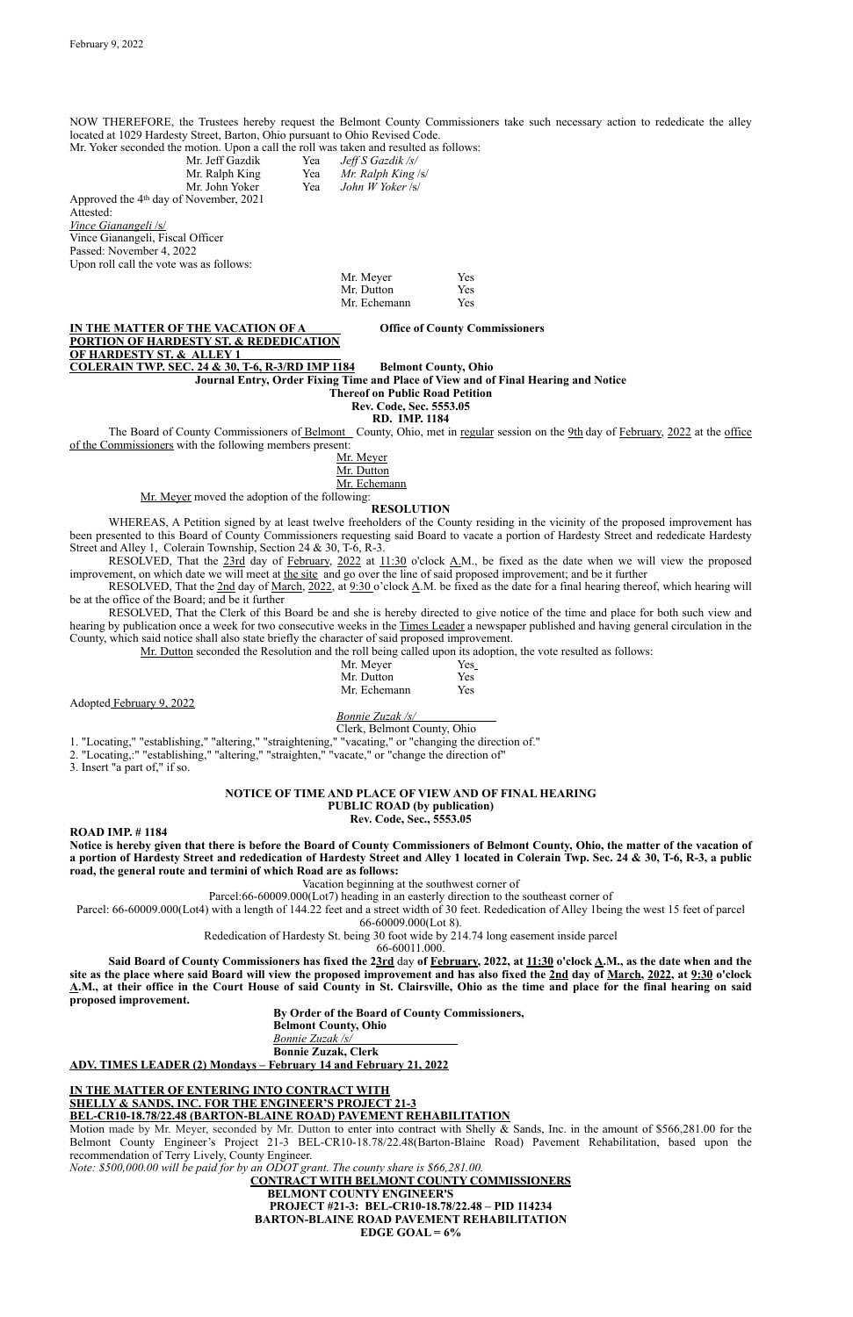NOW THEREFORE, the Trustees hereby request the Belmont County Commissioners take such necessary action to rededicate the alley located at 1029 Hardesty Street, Barton, Ohio pursuant to Ohio Revised Code.

Mr. Yoker seconded the motion. Upon a call the roll was taken and resulted as follows:

**IN THE MATTER OF THE VACATION OF A Office of County Commissioners PORTION OF HARDESTY ST. & REDEDICATION OF HARDESTY ST. & ALLEY 1 COLERAIN TWP. SEC. 24 & 30, T-6, R-3/RD IMP 1184 Belmont County, Ohio**

| Mr. Jeff Gazdik                                    | Yea | Jeff S Gazdik /s/  |
|----------------------------------------------------|-----|--------------------|
| Mr. Ralph King                                     | Yea | Mr. Ralph King /s/ |
| Mr. John Yoker                                     | Yea | John W Yoker /s/   |
| Approved the 4 <sup>th</sup> day of November, 2021 |     |                    |
| Attested:                                          |     |                    |
| <i>Vince Gianangeli /s/</i>                        |     |                    |
| Vince Gianangeli, Fiscal Officer                   |     |                    |
| Passed: November 4, 2022                           |     |                    |
| Upon roll call the vote was as follows:            |     |                    |

The Board of County Commissioners of Belmont County, Ohio, met in regular session on the 9th day of February, 2022 at the office of the Commissioners with the following members present:

| Mr. Meyer    | Yes |
|--------------|-----|
| Mr. Dutton   | Yes |
| Mr. Echemann | Yes |

**Journal Entry, Order Fixing Time and Place of View and of Final Hearing and Notice**

**Thereof on Public Road Petition**

**Rev. Code, Sec. 5553.05**

**RD. IMP. 1184**

RESOLVED, That the 2nd day of <u>March, 2022</u>, at  $9:30$  o'clock A.M. be fixed as the date for a final hearing thereof, which hearing will be at the office of the Board; and be it further

Mr. Meyer

Mr. Dutton

Mr. Echemann

Mr. Meyer moved the adoption of the following:

# **RESOLUTION**

WHEREAS, A Petition signed by at least twelve freeholders of the County residing in the vicinity of the proposed improvement has been presented to this Board of County Commissioners requesting said Board to vacate a portion of Hardesty Street and rededicate Hardesty Street and Alley 1, Colerain Township, Section 24 & 30, T-6, R-3.

RESOLVED, That the 23rd day of February, 2022 at 11:30 o'clock A.M., be fixed as the date when we will view the proposed improvement, on which date we will meet at the site and go over the line of said proposed improvement; and be it further

RESOLVED, That the Clerk of this Board be and she is hereby directed to give notice of the time and place for both such view and hearing by publication once a week for two consecutive weeks in the Times Leader a newspaper published and having general circulation in the County, which said notice shall also state briefly the character of said proposed improvement.

Mr. Dutton seconded the Resolution and the roll being called upon its adoption, the vote resulted as follows:

| Mr. Meyer    | Yes |
|--------------|-----|
| Mr. Dutton   | Yes |
| Mr. Echemann | Yes |

Adopted February 9, 2022

*Bonnie Zuzak /s/*

Clerk, Belmont County, Ohio

1. "Locating," "establishing," "altering," "straightening," "vacating," or "changing the direction of."

2. "Locating,:" "establishing," "altering," "straighten," "vacate," or "change the direction of"

3. Insert "a part of," if so.

#### **NOTICE OF TIME AND PLACE OF VIEW AND OF FINAL HEARING PUBLIC ROAD (by publication) Rev. Code, Sec., 5553.05**

**ROAD IMP. # 1184**

**Notice is hereby given that there is before the Board of County Commissioners of Belmont County, Ohio, the matter of the vacation of a portion of Hardesty Street and rededication of Hardesty Street and Alley 1 located in Colerain Twp. Sec. 24 & 30, T-6, R-3, a public road, the general route and termini of which Road are as follows:**

Vacation beginning at the southwest corner of

Parcel:66-60009.000(Lot7) heading in an easterly direction to the southeast corner of

Parcel: 66-60009.000(Lot4) with a length of 144.22 feet and a street width of 30 feet. Rededication of Alley 1being the west 15 feet of parcel

66-60009.000(Lot 8).

Rededication of Hardesty St. being 30 foot wide by 214.74 long easement inside parcel

66-60011.000.

**Said Board of County Commissioners has fixed the 23rd** day **of February, 2022, at 11:30 o'clock A.M., as the date when and the** 

**site as the place where said Board will view the proposed improvement and has also fixed the 2nd day of March, 2022, at 9:30 o'clock A.M., at their office in the Court House of said County in St. Clairsville, Ohio as the time and place for the final hearing on said proposed improvement.**

> **By Order of the Board of County Commissioners, Belmont County, Ohio**

*Bonnie Zuzak /s/*

**Bonnie Zuzak, Clerk** 

**ADV. TIMES LEADER (2) Mondays – February 14 and February 21, 2022**

# **IN THE MATTER OF ENTERING INTO CONTRACT WITH SHELLY & SANDS, INC. FOR THE ENGINEER'S PROJECT 21-3 BEL-CR10-18.78/22.48 (BARTON-BLAINE ROAD) PAVEMENT REHABILITATION**

Motion made by Mr. Meyer, seconded by Mr. Dutton to enter into contract with Shelly & Sands, Inc. in the amount of \$566,281.00 for the Belmont County Engineer's Project 21-3 BEL-CR10-18.78/22.48(Barton-Blaine Road) Pavement Rehabilitation, based upon the recommendation of Terry Lively, County Engineer.

*Note: \$500,000.00 will be paid for by an ODOT grant. The county share is \$66,281.00.*

**CONTRACT WITH BELMONT COUNTY COMMISSIONERS BELMONT COUNTY ENGINEER'S PROJECT #21-3: BEL-CR10-18.78/22.48 – PID 114234 BARTON-BLAINE ROAD PAVEMENT REHABILITATION EDGE GOAL = 6%**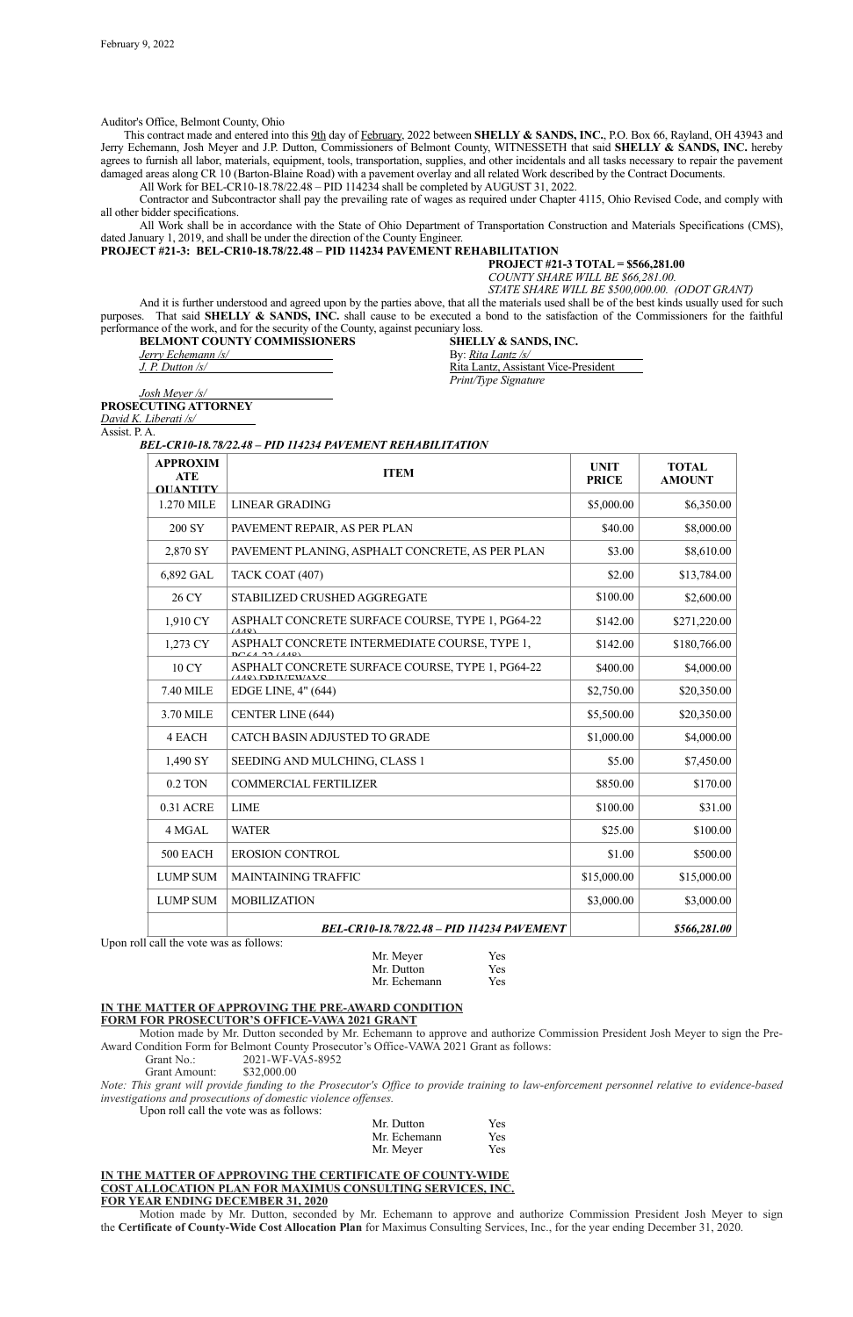Auditor's Office, Belmont County, Ohio

This contract made and entered into this 9th day of February, 2022 between **SHELLY & SANDS, INC.**, P.O. Box 66, Rayland, OH 43943 and Jerry Echemann, Josh Meyer and J.P. Dutton, Commissioners of Belmont County, WITNESSETH that said **SHELLY & SANDS, INC.** hereby agrees to furnish all labor, materials, equipment, tools, transportation, supplies, and other incidentals and all tasks necessary to repair the pavement damaged areas along CR 10 (Barton-Blaine Road) with a pavement overlay and all related Work described by the Contract Documents.

All Work for BEL-CR10-18.78/22.48 – PID 114234 shall be completed by AUGUST 31, 2022.

Contractor and Subcontractor shall pay the prevailing rate of wages as required under Chapter 4115, Ohio Revised Code, and comply with all other bidder specifications.

**BELMONT COUNTY COMMISSIONERS SHELLY & SANDS, INC.** *Jerry Echemann /s/* By: *Rita Lantz /s/* By: *Rita Lantz /s/* By: *Rita Lantz /s/ J. P. Dutton /s/* 

**Rita Lantz, Assistant Vice-President** *Print/Type Signature*

All Work shall be in accordance with the State of Ohio Department of Transportation Construction and Materials Specifications (CMS), dated January 1, 2019, and shall be under the direction of the County Engineer.

# **PROJECT #21-3: BEL-CR10-18.78/22.48 – PID 114234 PAVEMENT REHABILITATION**

**PROJECT #21-3 TOTAL = \$566,281.00**

*COUNTY SHARE WILL BE \$66,281.00.*

*STATE SHARE WILL BE \$500,000.00. (ODOT GRANT)*

And it is further understood and agreed upon by the parties above, that all the materials used shall be of the best kinds usually used for such purposes. That said **SHELLY & SANDS, INC.** shall cause to be executed a bond to the satisfaction of the Commissioners for the faithful performance of the work, and for the security of the County, against pecuniary loss.

*Josh Meyer /s/* **PROSECUTING ATTORNEY**

*David K. Liberati /s/* 

Assist. P. A.

*BEL-CR10-18.78/22.48 – PID 114234 PAVEMENT REHABILITATION*

Upon roll call the vote was as follows:

| Mr. Dutton   | Yes |
|--------------|-----|
| Mr. Echemann | Yes |

#### **IN THE MATTER OF APPROVING THE PRE-AWARD CONDITION FORM FOR PROSECUTOR'S OFFICE-VAWA 2021 GRANT**

Motion made by Mr. Dutton seconded by Mr. Echemann to approve and authorize Commission President Josh Meyer to sign the Pre-Award Condition Form for Belmont County Prosecutor's Office-VAWA 2021 Grant as follows:

Grant No.: 2021-WF-VA5-8952

Grant Amount: \$32,000.00

*Note: This grant will provide funding to the Prosecutor's Office to provide training to law-enforcement personnel relative to evidence-based investigations and prosecutions of domestic violence offenses.*

Upon roll call the vote was as follows:

| Mr. Dutton   | <b>Yes</b> |
|--------------|------------|
| Mr. Echemann | <b>Yes</b> |
| Mr. Meyer    | <b>Yes</b> |

## **IN THE MATTER OF APPROVING THE CERTIFICATE OF COUNTY-WIDE COST ALLOCATION PLAN FOR MAXIMUS CONSULTING SERVICES, INC. FOR YEAR ENDING DECEMBER 31, 2020**

Motion made by Mr. Dutton, seconded by Mr. Echemann to approve and authorize Commission President Josh Meyer to sign the **Certificate of County-Wide Cost Allocation Plan** for Maximus Consulting Services, Inc., for the year ending December 31, 2020.

| <b>APPROXIM</b><br><b>ATE</b><br><b>OUANTITY</b> | <b>ITEM</b>                                                                | <b>UNIT</b><br><b>PRICE</b> | <b>TOTAL</b><br><b>AMOUNT</b> |
|--------------------------------------------------|----------------------------------------------------------------------------|-----------------------------|-------------------------------|
| 1.270 MILE                                       | <b>LINEAR GRADING</b>                                                      | \$5,000.00                  | \$6,350.00                    |
| <b>200 SY</b>                                    | PAVEMENT REPAIR, AS PER PLAN                                               | \$40.00                     | \$8,000.00                    |
| 2,870 SY                                         | PAVEMENT PLANING, ASPHALT CONCRETE, AS PER PLAN                            | \$3.00                      | \$8,610.00                    |
| 6,892 GAL                                        | TACK COAT (407)                                                            | \$2.00                      | \$13,784.00                   |
| 26 CY                                            | STABILIZED CRUSHED AGGREGATE                                               | \$100.00                    | \$2,600.00                    |
| 1,910 CY                                         | ASPHALT CONCRETE SURFACE COURSE, TYPE 1, PG64-22<br>(110)                  | \$142.00                    | \$271,220.00                  |
| 1,273 CY                                         | ASPHALT CONCRETE INTERMEDIATE COURSE, TYPE 1,<br>$DCLA$ 22 $(110)$         | \$142.00                    | \$180,766.00                  |
| 10 CY                                            | ASPHALT CONCRETE SURFACE COURSE, TYPE 1, PG64-22<br><i>(AAO)</i> DDIVEWAVC | \$400.00                    | \$4,000.00                    |
| 7.40 MILE                                        | EDGE LINE, 4" (644)                                                        | \$2,750.00                  | \$20,350.00                   |
| 3.70 MILE                                        | <b>CENTER LINE (644)</b>                                                   | \$5,500.00                  | \$20,350.00                   |
| <b>4 EACH</b>                                    | CATCH BASIN ADJUSTED TO GRADE                                              | \$1,000.00                  | \$4,000.00                    |
| 1,490 SY                                         | SEEDING AND MULCHING, CLASS 1                                              | \$5.00                      | \$7,450.00                    |
| 0.2 TON                                          | <b>COMMERCIAL FERTILIZER</b>                                               | \$850.00                    | \$170.00                      |
| 0.31 ACRE                                        | <b>LIME</b>                                                                | \$100.00                    | \$31.00                       |
| 4 MGAL                                           | <b>WATER</b>                                                               | \$25.00                     | \$100.00                      |
| 500 EACH                                         | <b>EROSION CONTROL</b>                                                     | \$1.00                      | \$500.00                      |
| <b>LUMP SUM</b>                                  | <b>MAINTAINING TRAFFIC</b>                                                 | \$15,000.00                 | \$15,000.00                   |
| <b>LUMP SUM</b>                                  | <b>MOBILIZATION</b>                                                        | \$3,000.00                  | \$3,000.00                    |
|                                                  | BEL-CR10-18.78/22.48 - PID 114234 PAVEMENT                                 |                             | \$566,281.00                  |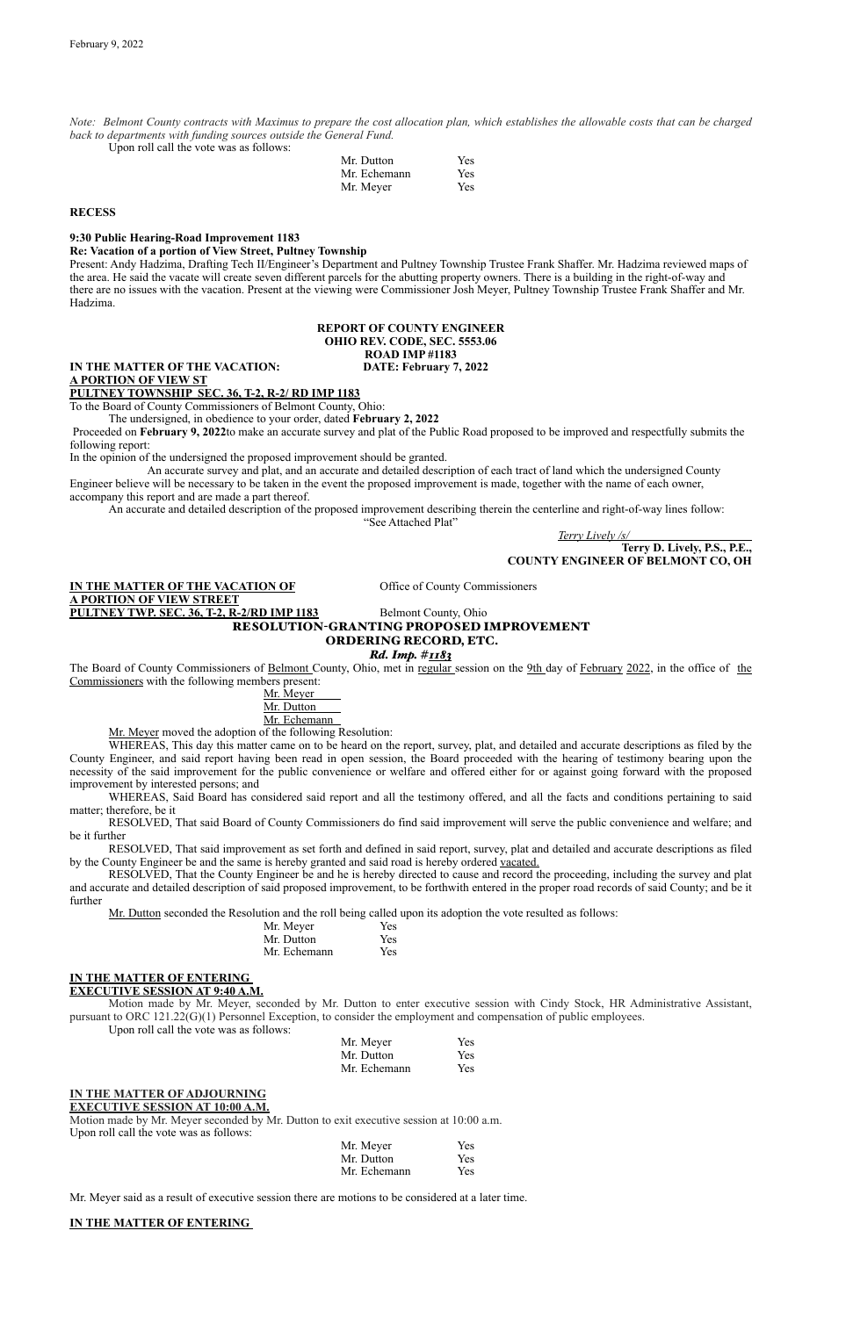*Note: Belmont County contracts with Maximus to prepare the cost allocation plan, which establishes the allowable costs that can be charged back to departments with funding sources outside the General Fund.*

Upon roll call the vote was as follows:

| Mr. Dutton   | <b>Yes</b> |
|--------------|------------|
| Mr. Echemann | <b>Yes</b> |
| Mr. Meyer    | <b>Yes</b> |

#### **RECESS**

**9:30 Public Hearing-Road Improvement 1183**

#### **Re: Vacation of a portion of View Street, Pultney Township**

Present: Andy Hadzima, Drafting Tech II/Engineer's Department and Pultney Township Trustee Frank Shaffer. Mr. Hadzima reviewed maps of the area. He said the vacate will create seven different parcels for the abutting property owners. There is a building in the right-of-way and there are no issues with the vacation. Present at the viewing were Commissioner Josh Meyer, Pultney Township Trustee Frank Shaffer and Mr. Hadzima.

# **REPORT OF COUNTY ENGINEER OHIO REV. CODE, SEC. 5553.06 ROAD IMP #1183**

#### **IN THE MATTER OF THE VACATION: DATE: February 7, 2022**

**A PORTION OF VIEW ST** 

**PULTNEY TOWNSHIP SEC. 36, T-2, R-2/ RD IMP 1183** To the Board of County Commissioners of Belmont County, Ohio:

The undersigned, in obedience to your order, dated **February 2, 2022**

The Board of County Commissioners of Belmont County, Ohio, met in regular session on the 9th day of February 2022, in the office of the Commissioners with the following members present:

 Proceeded on **February 9, 2022**to make an accurate survey and plat of the Public Road proposed to be improved and respectfully submits the following report:

In the opinion of the undersigned the proposed improvement should be granted.

An accurate survey and plat, and an accurate and detailed description of each tract of land which the undersigned County Engineer believe will be necessary to be taken in the event the proposed improvement is made, together with the name of each owner, accompany this report and are made a part thereof.

An accurate and detailed description of the proposed improvement describing therein the centerline and right-of-way lines follow:

"See Attached Plat"

*Terry Lively /s/*

**Terry D. Lively, P.S., P.E., COUNTY ENGINEER OF BELMONT CO, OH**

**IN THE MATTER OF THE VACATION OF SECOND COMMISSION COMMISSIONERS A PORTION OF VIEW STREET PULTNEY TWP. SEC. 36, T-2, R-2/RD IMP 1183** Belmont County, Ohio

# RESOLUTION-GRANTING PROPOSED IMPROVEMENT ORDERING RECORD, ETC.

#### *Rd. Imp. #1183*

# Mr. Meyer

# Mr. Dutton

Mr. Echemann

Mr. Meyer moved the adoption of the following Resolution:

WHEREAS, This day this matter came on to be heard on the report, survey, plat, and detailed and accurate descriptions as filed by the County Engineer, and said report having been read in open session, the Board proceeded with the hearing of testimony bearing upon the necessity of the said improvement for the public convenience or welfare and offered either for or against going forward with the proposed improvement by interested persons; and

WHEREAS, Said Board has considered said report and all the testimony offered, and all the facts and conditions pertaining to said matter; therefore, be it

RESOLVED, That said Board of County Commissioners do find said improvement will serve the public convenience and welfare; and be it further

RESOLVED, That said improvement as set forth and defined in said report, survey, plat and detailed and accurate descriptions as filed by the County Engineer be and the same is hereby granted and said road is hereby ordered vacated.

RESOLVED, That the County Engineer be and he is hereby directed to cause and record the proceeding, including the survey and plat and accurate and detailed description of said proposed improvement, to be forthwith entered in the proper road records of said County; and be it further

Mr. Dutton seconded the Resolution and the roll being called upon its adoption the vote resulted as follows:

| Mr. Meyer    | <b>Yes</b> |
|--------------|------------|
| Mr. Dutton   | Yes        |
| Mr. Echemann | Yes        |

# **IN THE MATTER OF ENTERING EXECUTIVE SESSION AT 9:40 A.M.**

Motion made by Mr. Meyer, seconded by Mr. Dutton to enter executive session with Cindy Stock, HR Administrative Assistant, pursuant to ORC 121.22(G)(1) Personnel Exception, to consider the employment and compensation of public employees.

Upon roll call the vote was as follows:

| Mr. Meyer    | <b>Yes</b> |
|--------------|------------|
| Mr. Dutton   | <b>Yes</b> |
| Mr. Echemann | <b>Yes</b> |

# **IN THE MATTER OF ADJOURNING EXECUTIVE SESSION AT 10:00 A.M.**

Motion made by Mr. Meyer seconded by Mr. Dutton to exit executive session at 10:00 a.m. Upon roll call the vote was as follows:

| Mr. Meyer    | Yes |
|--------------|-----|
| Mr. Dutton   | Yes |
| Mr. Echemann | Yes |

Mr. Meyer said as a result of executive session there are motions to be considered at a later time.

# **IN THE MATTER OF ENTERING**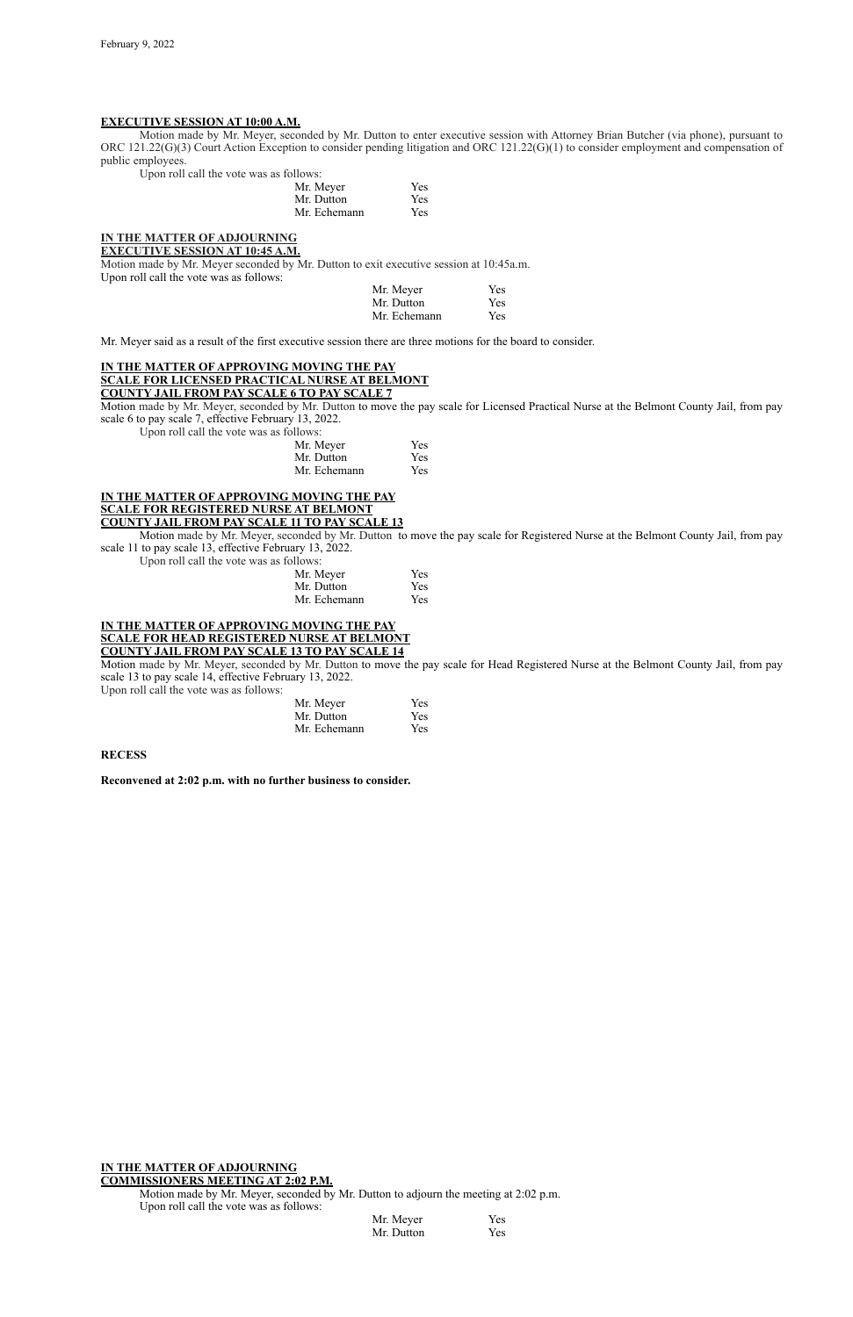## **EXECUTIVE SESSION AT 10:00 A.M.**

Motion made by Mr. Meyer, seconded by Mr. Dutton to enter executive session with Attorney Brian Butcher (via phone), pursuant to ORC 121.22(G)(3) Court Action Exception to consider pending litigation and ORC 121.22(G)(1) to consider employment and compensation of public employees.

Upon roll call the vote was as follows:

| Mr. Meyer    | Yes |
|--------------|-----|
| Mr. Dutton   | Yes |
| Mr. Echemann | Yes |

#### **IN THE MATTER OF ADJOURNING**

**EXECUTIVE SESSION AT 10:45 A.M.**

Motion made by Mr. Meyer seconded by Mr. Dutton to exit executive session at 10:45a.m. Upon roll call the vote was as follows:

| Mr. Meyer    | Yes |
|--------------|-----|
| Mr. Dutton   | Yes |
| Mr. Echemann | Yes |

Mr. Meyer said as a result of the first executive session there are three motions for the board to consider.

# **IN THE MATTER OF APPROVING MOVING THE PAY SCALE FOR LICENSED PRACTICAL NURSE AT BELMONT COUNTY JAIL FROM PAY SCALE 6 TO PAY SCALE 7**

Motion made by Mr. Meyer, seconded by Mr. Dutton to move the pay scale for Licensed Practical Nurse at the Belmont County Jail, from pay scale 6 to pay scale 7, effective February 13, 2022.

Upon roll call the vote was as follows:

| Mr. Meyer    | <b>Yes</b> |
|--------------|------------|
| Mr. Dutton   | <b>Yes</b> |
| Mr. Echemann | <b>Yes</b> |

#### **IN THE MATTER OF APPROVING MOVING THE PAY SCALE FOR REGISTERED NURSE AT BELMONT COUNTY JAIL FROM PAY SCALE 11 TO PAY SCALE 13**

Motion made by Mr. Meyer, seconded by Mr. Dutton to move the pay scale for Registered Nurse at the Belmont County Jail, from pay scale 11 to pay scale 13, effective February 13, 2022.

Upon roll call the vote was as follows:

| Mr. Meyer    | Yes        |
|--------------|------------|
| Mr. Dutton   | Yes        |
| Mr. Echemann | <b>Yes</b> |

#### **IN THE MATTER OF APPROVING MOVING THE PAY SCALE FOR HEAD REGISTERED NURSE AT BELMONT COUNTY JAIL FROM PAY SCALE 13 TO PAY SCALE 14**

Motion made by Mr. Meyer, seconded by Mr. Dutton to move the pay scale for Head Registered Nurse at the Belmont County Jail, from pay scale 13 to pay scale 14, effective February 13, 2022.

Upon roll call the vote was as follows:

| Mr. Meyer    | <b>Yes</b> |
|--------------|------------|
| Mr. Dutton   | <b>Yes</b> |
| Mr. Echemann | <b>Yes</b> |

#### **RECESS**

**Reconvened at 2:02 p.m. with no further business to consider.**

### **IN THE MATTER OF ADJOURNING COMMISSIONERS MEETING AT 2:02 P.M.**

Motion made by Mr. Meyer, seconded by Mr. Dutton to adjourn the meeting at 2:02 p.m. Upon roll call the vote was as follows:

| Mr. Meyer  | Yes |
|------------|-----|
| Mr. Dutton | Yes |